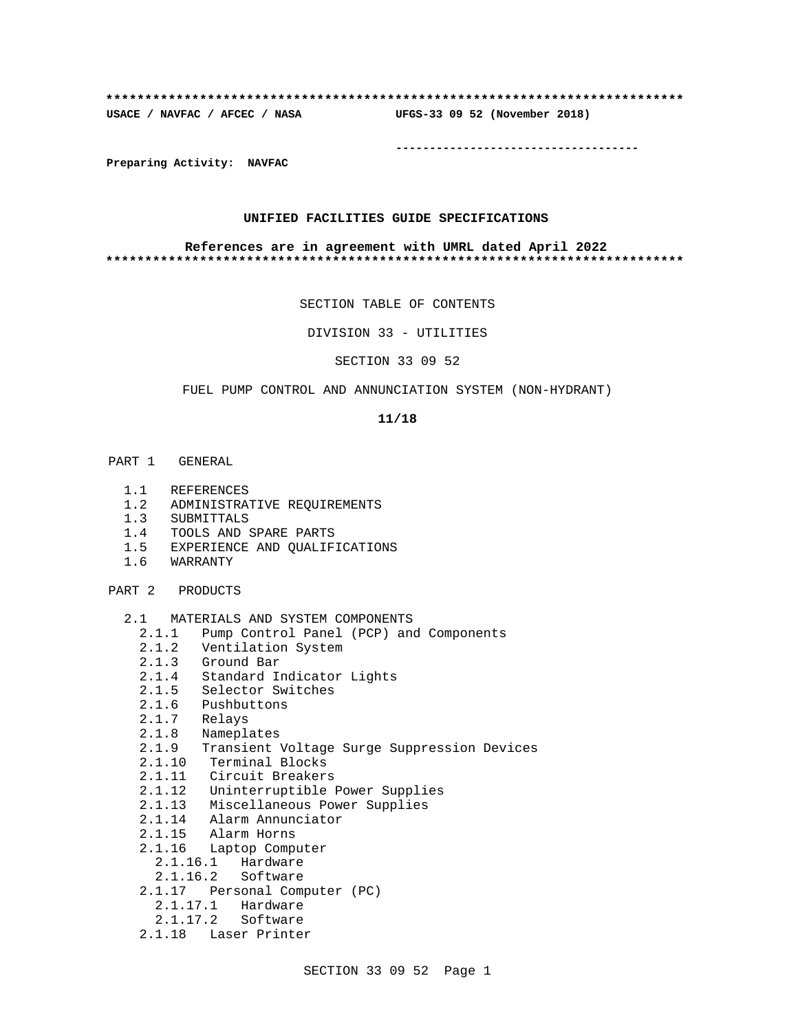#### **\*\*\*\*\*\*\*\*\*\*\*\*\*\*\*\*\*\*\*\*\*\*\*\*\*\*\*\*\*\*\*\*\*\*\*\*\*\*\*\*\*\*\*\*\*\*\*\*\*\*\*\*\*\*\*\*\*\*\*\*\*\*\*\*\*\*\*\*\*\*\*\*\*\***

**USACE / NAVFAC / AFCEC / NASA UFGS-33 09 52 (November 2018)**

**------------------------------------**

**Preparing Activity: NAVFAC**

#### **UNIFIED FACILITIES GUIDE SPECIFICATIONS**

#### **References are in agreement with UMRL dated April 2022 \*\*\*\*\*\*\*\*\*\*\*\*\*\*\*\*\*\*\*\*\*\*\*\*\*\*\*\*\*\*\*\*\*\*\*\*\*\*\*\*\*\*\*\*\*\*\*\*\*\*\*\*\*\*\*\*\*\*\*\*\*\*\*\*\*\*\*\*\*\*\*\*\*\***

SECTION TABLE OF CONTENTS

DIVISION 33 - UTILITIES

SECTION 33 09 52

#### FUEL PUMP CONTROL AND ANNUNCIATION SYSTEM (NON-HYDRANT)

#### **11/18**

- PART 1 GENERAL
	- 1.1 REFERENCES
	- 1.2 ADMINISTRATIVE REQUIREMENTS
	- 1.3 SUBMITTALS
	- 1.4 TOOLS AND SPARE PARTS
	- 1.5 EXPERIENCE AND QUALIFICATIONS
	- 1.6 WARRANTY
- PART 2 PRODUCTS
	- 2.1 MATERIALS AND SYSTEM COMPONENTS
		- 2.1.1 Pump Control Panel (PCP) and Components
		- 2.1.2 Ventilation System
		- 2.1.3 Ground Bar
		- 2.1.4 Standard Indicator Lights
		- 2.1.5 Selector Switches
		- 2.1.6 Pushbuttons
		- 2.1.7 Relays
		- 2.1.8 Nameplates
		- 2.1.9 Transient Voltage Surge Suppression Devices
		- 2.1.10 Terminal Blocks
		- 2.1.11 Circuit Breakers
		- 2.1.12 Uninterruptible Power Supplies
		- 2.1.13 Miscellaneous Power Supplies
		- 2.1.14 Alarm Annunciator
		- 2.1.15 Alarm Horns
		- 2.1.16 Laptop Computer
			- 2.1.16.1 Hardware
			- 2.1.16.2 Software
		- 2.1.17 Personal Computer (PC)
			- 2.1.17.1 Hardware
			- 2.1.17.2 Software
		- 2.1.18 Laser Printer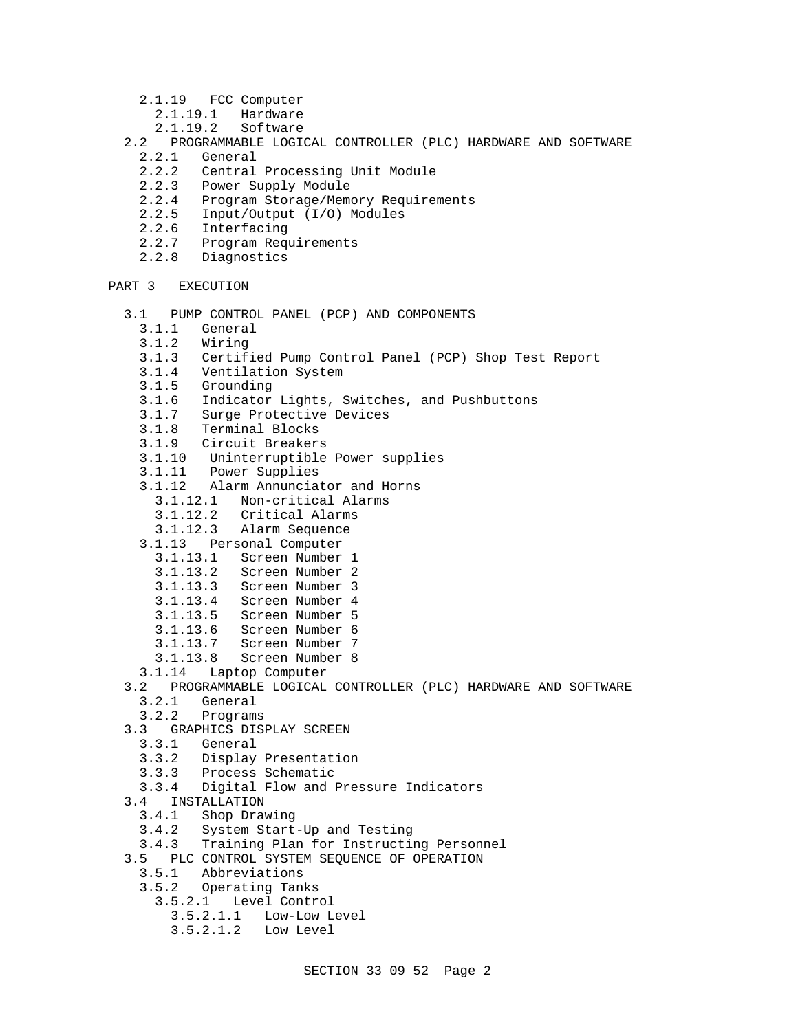- 2.1.19 FCC Computer
	- 2.1.19.1 Hardware<br>2.1.19.2 Software
- Software
- 2.2 PROGRAMMABLE LOGICAL CONTROLLER (PLC) HARDWARE AND SOFTWARE
	- General
	- 2.2.2 Central Processing Unit Module
	- 2.2.3 Power Supply Module
	- 2.2.4 Program Storage/Memory Requirements
	- 2.2.5 Input/Output (I/O) Modules
	- 2.2.6 Interfacing
	- 2.2.7 Program Requirements
	- 2.2.8 Diagnostics

```
PART 3 EXECUTION
```
- 3.1 PUMP CONTROL PANEL (PCP) AND COMPONENTS
	- 3.1.1 General
	- 3.1.2 Wiring
	- 3.1.3 Certified Pump Control Panel (PCP) Shop Test Report
	- 3.1.4 Ventilation System<br>3.1.5 Grounding
	- Grounding
	- 3.1.6 Indicator Lights, Switches, and Pushbuttons
	- 3.1.7 Surge Protective Devices
	- 3.1.8 Terminal Blocks
	- 3.1.9 Circuit Breakers
	- 3.1.10 Uninterruptible Power supplies
	- 3.1.11 Power Supplies
	- 3.1.12 Alarm Annunciator and Horns
		- 3.1.12.1 Non-critical Alarms
- 3.1.12.2 Critical Alarms
- 3.1.12.3 Alarm Sequence
	- 3.1.13 Personal Computer
		- 3.1.13.1 Screen Number 1
		- 3.1.13.2 Screen Number 2
		- 3.1.13.3 Screen Number 3
		- 3.1.13.4 Screen Number 4
		- 3.1.13.5 Screen Number 5
		- 3.1.13.6 Screen Number 6
		- 3.1.13.7 Screen Number 7
		- 3.1.13.8 Screen Number 8
	- 3.1.14 Laptop Computer
	- 3.2 PROGRAMMABLE LOGICAL CONTROLLER (PLC) HARDWARE AND SOFTWARE
		- 3.2.1 General
		- 3.2.2 Programs
	- 3.3 GRAPHICS DISPLAY SCREEN
		- 3.3.1 General
		- 3.3.2 Display Presentation
		- 3.3.3 Process Schematic
		- 3.3.4 Digital Flow and Pressure Indicators
	- 3.4 INSTALLATION<br>3.4.1 Shop Draw
		- Shop Drawing
		- 3.4.2 System Start-Up and Testing
		- 3.4.3 Training Plan for Instructing Personnel
	- 3.5 PLC CONTROL SYSTEM SEQUENCE OF OPERATION
	- 3.5.1 Abbreviations
		- 3.5.2 Operating Tanks
			- 3.5.2.1 Level Control
				- 3.5.2.1.1 Low-Low Level
				- 3.5.2.1.2 Low Level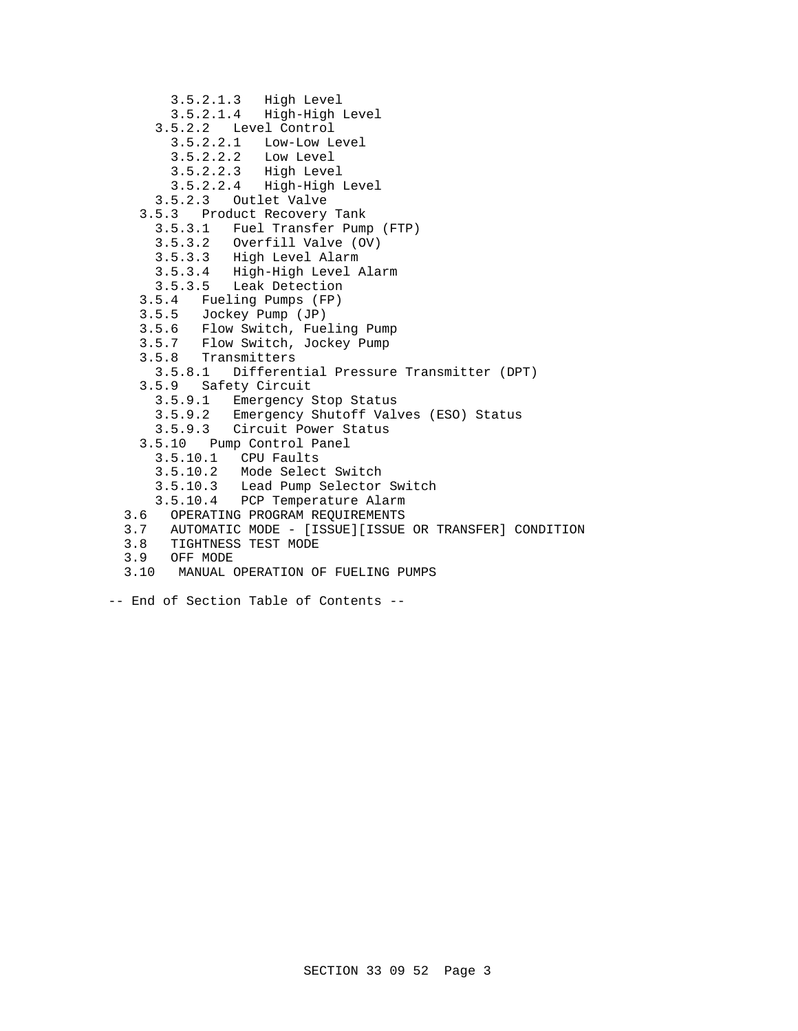```
 3.5.2.1.3 High Level
       3.5.2.1.4 High-High Level
     3.5.2.2 Level Control
       3.5.2.2.1 Low-Low Level
       3.5.2.2.2 Low Level
3.5.2.2.3 High Level
3.5.2.2.4 High-High Level
     3.5.2.3 Outlet Valve
   3.5.3 Product Recovery Tank
     3.5.3.1 Fuel Transfer Pump (FTP)
     3.5.3.2 Overfill Valve (OV)
     3.5.3.3 High Level Alarm
     3.5.3.4 High-High Level Alarm
     3.5.3.5 Leak Detection
   3.5.4 Fueling Pumps (FP)
   3.5.5 Jockey Pump (JP)
3.5.6 Flow Switch, Fueling Pump
3.5.7 Flow Switch, Jockey Pump
3.5.8 Transmitters
     3.5.8.1 Differential Pressure Transmitter (DPT)
   3.5.9 Safety Circuit
     3.5.9.1 Emergency Stop Status
     3.5.9.2 Emergency Shutoff Valves (ESO) Status
     3.5.9.3 Circuit Power Status
   3.5.10 Pump Control Panel
     3.5.10.1 CPU Faults
     3.5.10.2 Mode Select Switch
     3.5.10.3 Lead Pump Selector Switch
     3.5.10.4 PCP Temperature Alarm
3.6 OPERATING PROGRAM REQUIREMENTS
 3.7 AUTOMATIC MODE - [ISSUE][ISSUE OR TRANSFER] CONDITION
3.8 TIGHTNESS TEST MODE<br>3.9 OFF MODE
    OFF MODE
 3.10 MANUAL OPERATION OF FUELING PUMPS
```
- 
- -- End of Section Table of Contents --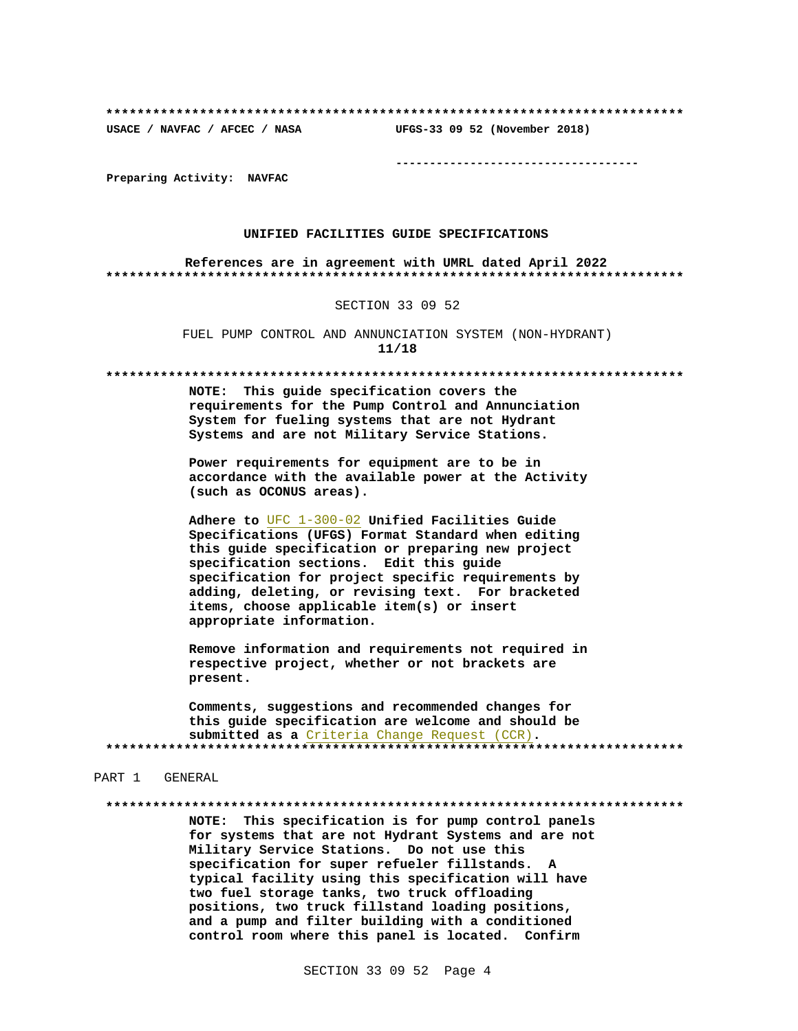UFGS-33 09 52 (November 2018)

USACE / NAVFAC / AFCEC / NASA

--------------------------------------

Preparing Activity: NAVFAC

#### UNIFIED FACILITIES GUIDE SPECIFICATIONS

References are in agreement with UMRL dated April 2022 

#### SECTION 33 09 52

FUEL PUMP CONTROL AND ANNUNCIATION SYSTEM (NON-HYDRANT)  $11/18$ 

NOTE: This guide specification covers the requirements for the Pump Control and Annunciation System for fueling systems that are not Hydrant Systems and are not Military Service Stations.

Power requirements for equipment are to be in accordance with the available power at the Activity (such as OCONUS areas).

Adhere to UFC 1-300-02 Unified Facilities Guide Specifications (UFGS) Format Standard when editing this guide specification or preparing new project specification sections. Edit this guide specification for project specific requirements by adding, deleting, or revising text. For bracketed items, choose applicable item(s) or insert appropriate information.

Remove information and requirements not required in respective project, whether or not brackets are present.

Comments, suggestions and recommended changes for this guide specification are welcome and should be submitted as a Criteria Change Request (CCR). 

#### PART 1 GENERAL

NOTE: This specification is for pump control panels for systems that are not Hydrant Systems and are not Military Service Stations. Do not use this specification for super refueler fillstands. A typical facility using this specification will have two fuel storage tanks, two truck offloading positions, two truck fillstand loading positions, and a pump and filter building with a conditioned control room where this panel is located. Confirm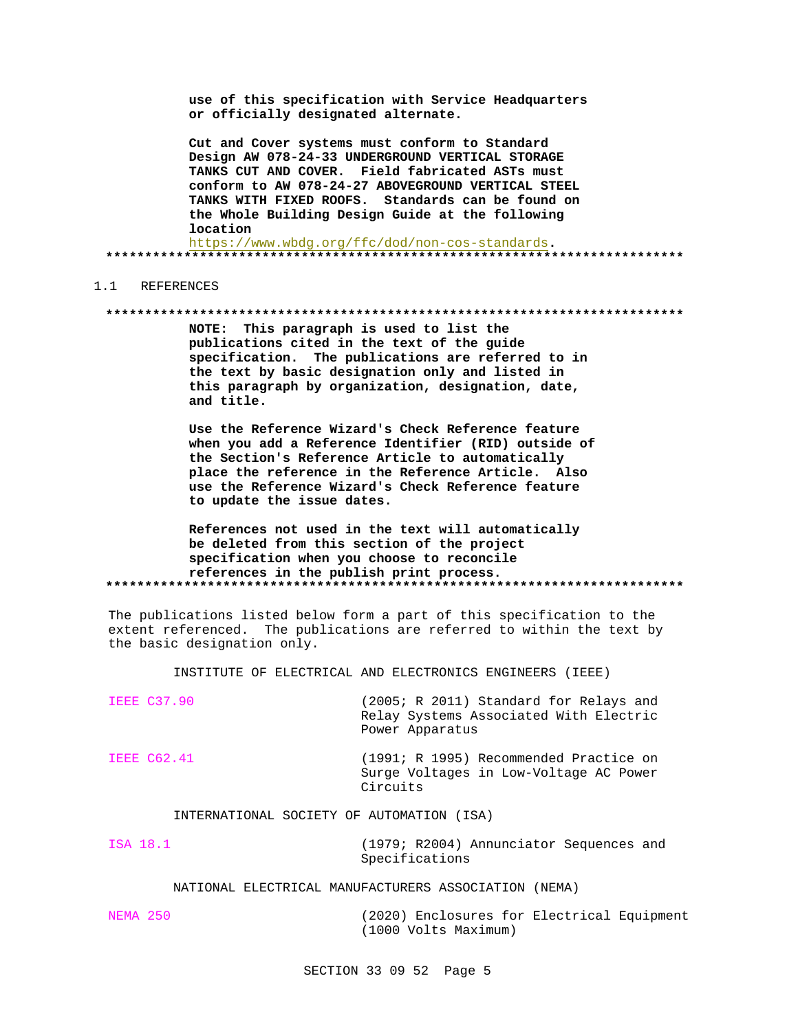use of this specification with Service Headquarters or officially designated alternate.

Cut and Cover systems must conform to Standard Design AW 078-24-33 UNDERGROUND VERTICAL STORAGE TANKS CUT AND COVER. Field fabricated ASTs must conform to AW 078-24-27 ABOVEGROUND VERTICAL STEEL TANKS WITH FIXED ROOFS. Standards can be found on the Whole Building Design Guide at the following location

https://www.wbdg.org/ffc/dod/non-cos-standards. 

#### 1.1 REFERENCES

#### 

NOTE: This paragraph is used to list the publications cited in the text of the guide specification. The publications are referred to in the text by basic designation only and listed in this paragraph by organization, designation, date, and title.

Use the Reference Wizard's Check Reference feature when you add a Reference Identifier (RID) outside of the Section's Reference Article to automatically place the reference in the Reference Article. Also use the Reference Wizard's Check Reference feature to update the issue dates.

### References not used in the text will automatically be deleted from this section of the project specification when you choose to reconcile references in the publish print process.

The publications listed below form a part of this specification to the extent referenced. The publications are referred to within the text by the basic designation only.

INSTITUTE OF ELECTRICAL AND ELECTRONICS ENGINEERS (IEEE)

| <b>IEEE C37.90</b> | (2005; R 2011) Standard for Relays and |
|--------------------|----------------------------------------|
|                    | Relay Systems Associated With Electric |
|                    | Power Apparatus                        |
|                    |                                        |

**IEEE C62.41** (1991; R 1995) Recommended Practice on Surge Voltages in Low-Voltage AC Power Circuits

#### INTERNATIONAL SOCIETY OF AUTOMATION (ISA)

ISA 18.1 (1979; R2004) Annunciator Sequences and Specifications

#### NATIONAL ELECTRICAL MANUFACTURERS ASSOCIATION (NEMA)

**NEMA 250** (2020) Enclosures for Electrical Equipment (1000 Volts Maximum)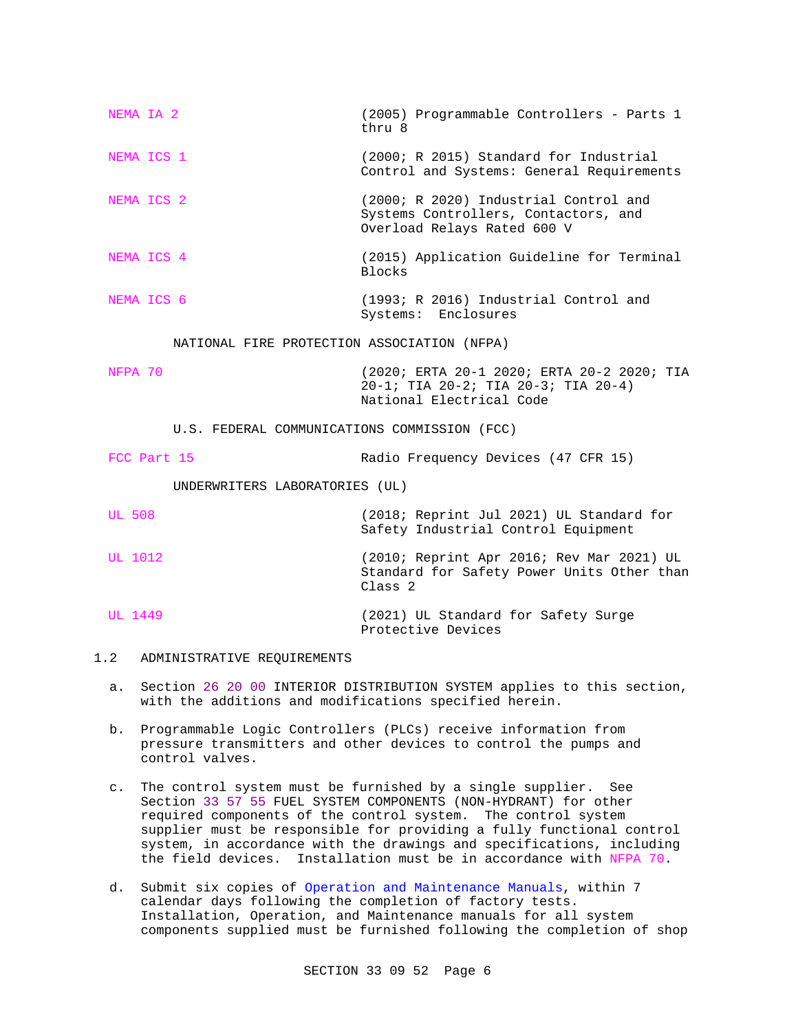| NEMA IA 2                                    | (2005) Programmable Controllers - Parts 1<br>thru 8                                                           |  |  |  |
|----------------------------------------------|---------------------------------------------------------------------------------------------------------------|--|--|--|
| NEMA ICS 1                                   | (2000; R 2015) Standard for Industrial<br>Control and Systems: General Requirements                           |  |  |  |
| NEMA ICS 2                                   | (2000; R 2020) Industrial Control and<br>Systems Controllers, Contactors, and<br>Overload Relays Rated 600 V  |  |  |  |
| NEMA ICS 4                                   | (2015) Application Guideline for Terminal<br><b>Blocks</b>                                                    |  |  |  |
| NEMA ICS 6                                   | (1993; R 2016) Industrial Control and<br>Systems: Enclosures                                                  |  |  |  |
| NATIONAL FIRE PROTECTION ASSOCIATION (NFPA)  |                                                                                                               |  |  |  |
| NFPA 70                                      | (2020; ERTA 20-1 2020; ERTA 20-2 2020; TIA<br>20-1; TIA 20-2; TIA 20-3; TIA 20-4)<br>National Electrical Code |  |  |  |
| U.S. FEDERAL COMMUNICATIONS COMMISSION (FCC) |                                                                                                               |  |  |  |
| FCC Part 15                                  | Radio Frequency Devices (47 CFR 15)                                                                           |  |  |  |
| UNDERWRITERS LABORATORIES (UL)               |                                                                                                               |  |  |  |
| <b>UL 508</b>                                | (2018; Reprint Jul 2021) UL Standard for<br>Safety Industrial Control Equipment                               |  |  |  |
| UL 1012                                      | (2010; Reprint Apr 2016; Rev Mar 2021) UL<br>Standard for Safety Power Units Other than<br>Class <sub>2</sub> |  |  |  |
| UL 1449                                      | (2021) UL Standard for Safety Surge                                                                           |  |  |  |

- 1.2 ADMINISTRATIVE REQUIREMENTS
	- a. Section 26 20 00 INTERIOR DISTRIBUTION SYSTEM applies to this section, with the additions and modifications specified herein.

Protective Devices

- b. Programmable Logic Controllers (PLCs) receive information from pressure transmitters and other devices to control the pumps and control valves.
- c. The control system must be furnished by a single supplier. See Section 33 57 55 FUEL SYSTEM COMPONENTS (NON-HYDRANT) for other required components of the control system. The control system supplier must be responsible for providing a fully functional control system, in accordance with the drawings and specifications, including the field devices. Installation must be in accordance with NFPA 70.
- d. Submit six copies of Operation and Maintenance Manuals, within 7 calendar days following the completion of factory tests. Installation, Operation, and Maintenance manuals for all system components supplied must be furnished following the completion of shop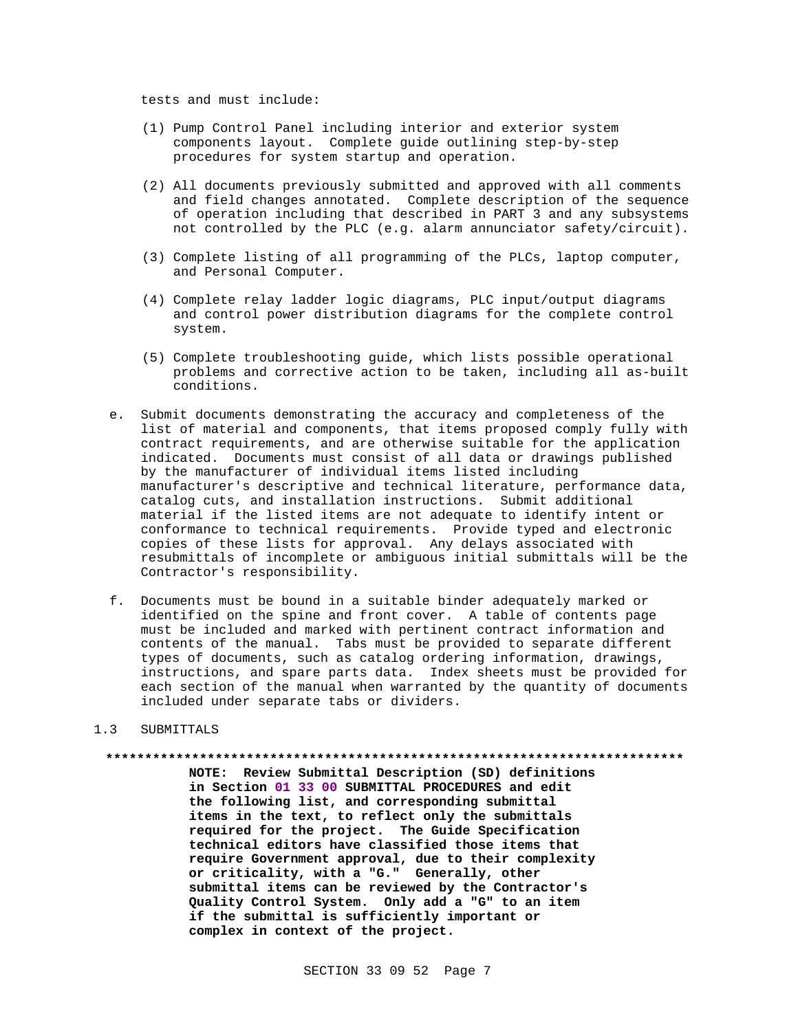tests and must include:

- (1) Pump Control Panel including interior and exterior system components layout. Complete guide outlining step-by-step procedures for system startup and operation.
- (2) All documents previously submitted and approved with all comments and field changes annotated. Complete description of the sequence of operation including that described in PART 3 and any subsystems not controlled by the PLC (e.g. alarm annunciator safety/circuit).
- (3) Complete listing of all programming of the PLCs, laptop computer, and Personal Computer.
- (4) Complete relay ladder logic diagrams, PLC input/output diagrams and control power distribution diagrams for the complete control system.
- (5) Complete troubleshooting guide, which lists possible operational problems and corrective action to be taken, including all as-built conditions.
- e. Submit documents demonstrating the accuracy and completeness of the list of material and components, that items proposed comply fully with contract requirements, and are otherwise suitable for the application indicated. Documents must consist of all data or drawings published by the manufacturer of individual items listed including manufacturer's descriptive and technical literature, performance data, catalog cuts, and installation instructions. Submit additional material if the listed items are not adequate to identify intent or conformance to technical requirements. Provide typed and electronic copies of these lists for approval. Any delays associated with resubmittals of incomplete or ambiguous initial submittals will be the Contractor's responsibility.
- f. Documents must be bound in a suitable binder adequately marked or identified on the spine and front cover. A table of contents page must be included and marked with pertinent contract information and contents of the manual. Tabs must be provided to separate different types of documents, such as catalog ordering information, drawings, instructions, and spare parts data. Index sheets must be provided for each section of the manual when warranted by the quantity of documents included under separate tabs or dividers.

#### $1.3$ SUBMITTALS

NOTE: Review Submittal Description (SD) definitions in Section 01 33 00 SUBMITTAL PROCEDURES and edit the following list, and corresponding submittal items in the text, to reflect only the submittals required for the project. The Guide Specification technical editors have classified those items that require Government approval, due to their complexity<br>or criticality, with a "G." Generally, other submittal items can be reviewed by the Contractor's Quality Control System. Only add a "G" to an item if the submittal is sufficiently important or complex in context of the project.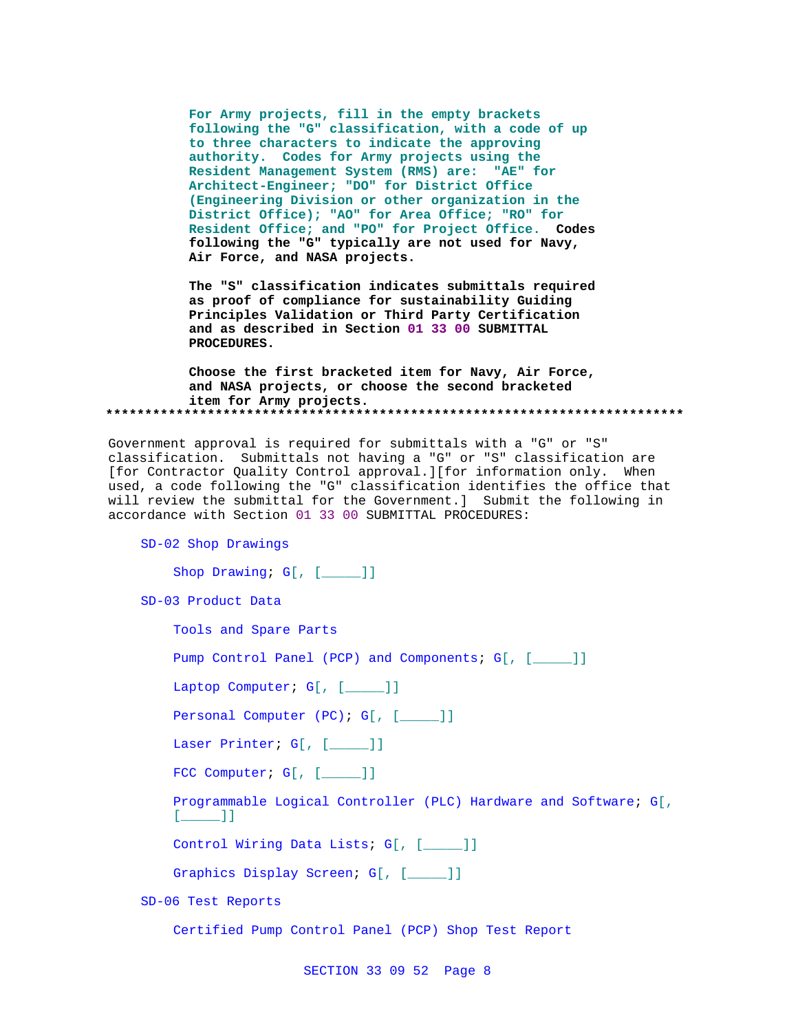**For Army projects, fill in the empty brackets following the "G" classification, with a code of up to three characters to indicate the approving authority. Codes for Army projects using the Resident Management System (RMS) are: "AE" for Architect-Engineer; "DO" for District Office (Engineering Division or other organization in the District Office); "AO" for Area Office; "RO" for Resident Office; and "PO" for Project Office. Codes following the "G" typically are not used for Navy, Air Force, and NASA projects.**

**The "S" classification indicates submittals required as proof of compliance for sustainability Guiding Principles Validation or Third Party Certification and as described in Section 01 33 00 SUBMITTAL PROCEDURES.**

**Choose the first bracketed item for Navy, Air Force, and NASA projects, or choose the second bracketed item for Army projects. \*\*\*\*\*\*\*\*\*\*\*\*\*\*\*\*\*\*\*\*\*\*\*\*\*\*\*\*\*\*\*\*\*\*\*\*\*\*\*\*\*\*\*\*\*\*\*\*\*\*\*\*\*\*\*\*\*\*\*\*\*\*\*\*\*\*\*\*\*\*\*\*\*\***

Government approval is required for submittals with a "G" or "S" classification. Submittals not having a "G" or "S" classification are [for Contractor Quality Control approval.][for information only. When used, a code following the "G" classification identifies the office that will review the submittal for the Government.] Submit the following in accordance with Section 01 33 00 SUBMITTAL PROCEDURES:

SD-02 Shop Drawings

Shop Drawing; G[, [\_\_\_\_]]

SD-03 Product Data

Tools and Spare Parts

Pump Control Panel (PCP) and Components; G[, [\_\_\_\_]]

Laptop Computer; G[, [\_\_\_\_]]

Personal Computer (PC); G[, [\_\_\_\_]]

Laser Printer; G[, [\_\_\_\_]]

FCC Computer; G[, [\_\_\_\_]]

Programmable Logical Controller (PLC) Hardware and Software; G[,  $[$   $]$   $]$ 

Control Wiring Data Lists; G[, [\_\_\_\_\_]]

Graphics Display Screen; G[, [\_\_\_\_]]

SD-06 Test Reports

Certified Pump Control Panel (PCP) Shop Test Report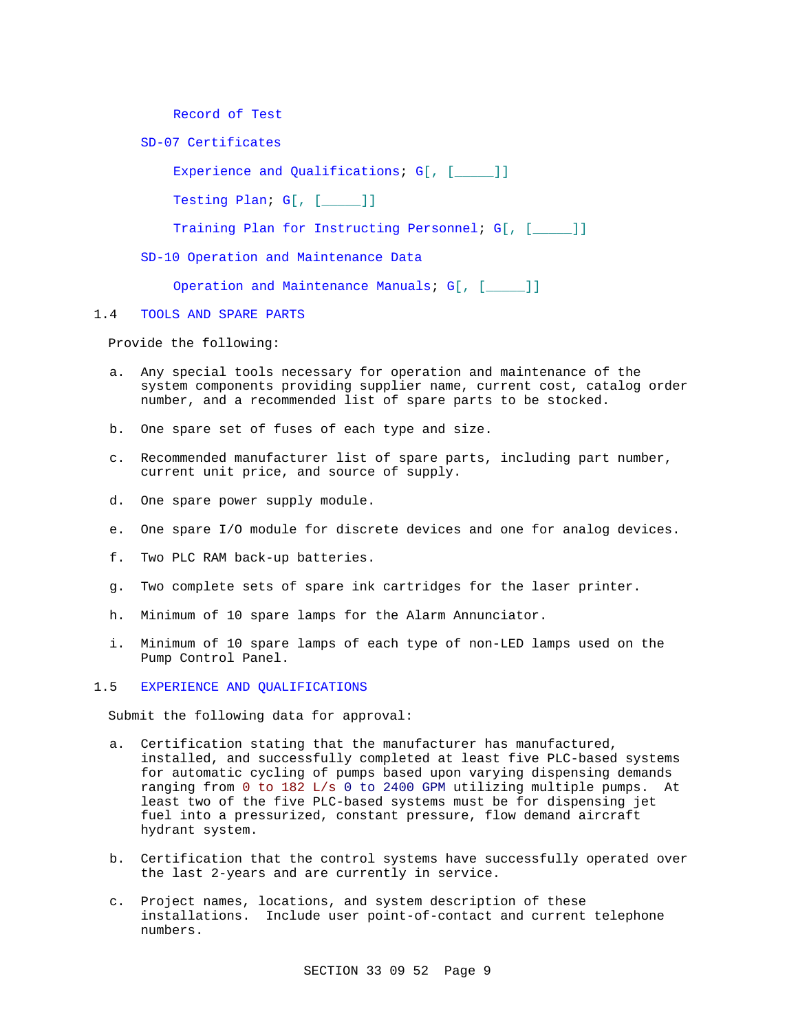Record of Test

SD-07 Certificates

Experience and Qualifications; G[, [\_\_\_\_]] Testing Plan; G[, [\_\_\_\_\_]] Training Plan for Instructing Personnel; G[, [\_\_\_\_]] SD-10 Operation and Maintenance Data

Operation and Maintenance Manuals; G[, [\_\_\_\_]]

1.4 TOOLS AND SPARE PARTS

Provide the following:

- a. Any special tools necessary for operation and maintenance of the system components providing supplier name, current cost, catalog order number, and a recommended list of spare parts to be stocked.
- b. One spare set of fuses of each type and size.
- c. Recommended manufacturer list of spare parts, including part number, current unit price, and source of supply.
- d. One spare power supply module.
- e. One spare I/O module for discrete devices and one for analog devices.
- f. Two PLC RAM back-up batteries.
- g. Two complete sets of spare ink cartridges for the laser printer.
- h. Minimum of 10 spare lamps for the Alarm Annunciator.
- i. Minimum of 10 spare lamps of each type of non-LED lamps used on the Pump Control Panel.

1.5 EXPERIENCE AND QUALIFICATIONS

Submit the following data for approval:

- a. Certification stating that the manufacturer has manufactured, installed, and successfully completed at least five PLC-based systems for automatic cycling of pumps based upon varying dispensing demands ranging from 0 to 182 L/s 0 to 2400 GPM utilizing multiple pumps. At least two of the five PLC-based systems must be for dispensing jet fuel into a pressurized, constant pressure, flow demand aircraft hydrant system.
- b. Certification that the control systems have successfully operated over the last 2-years and are currently in service.
- c. Project names, locations, and system description of these installations. Include user point-of-contact and current telephone numbers.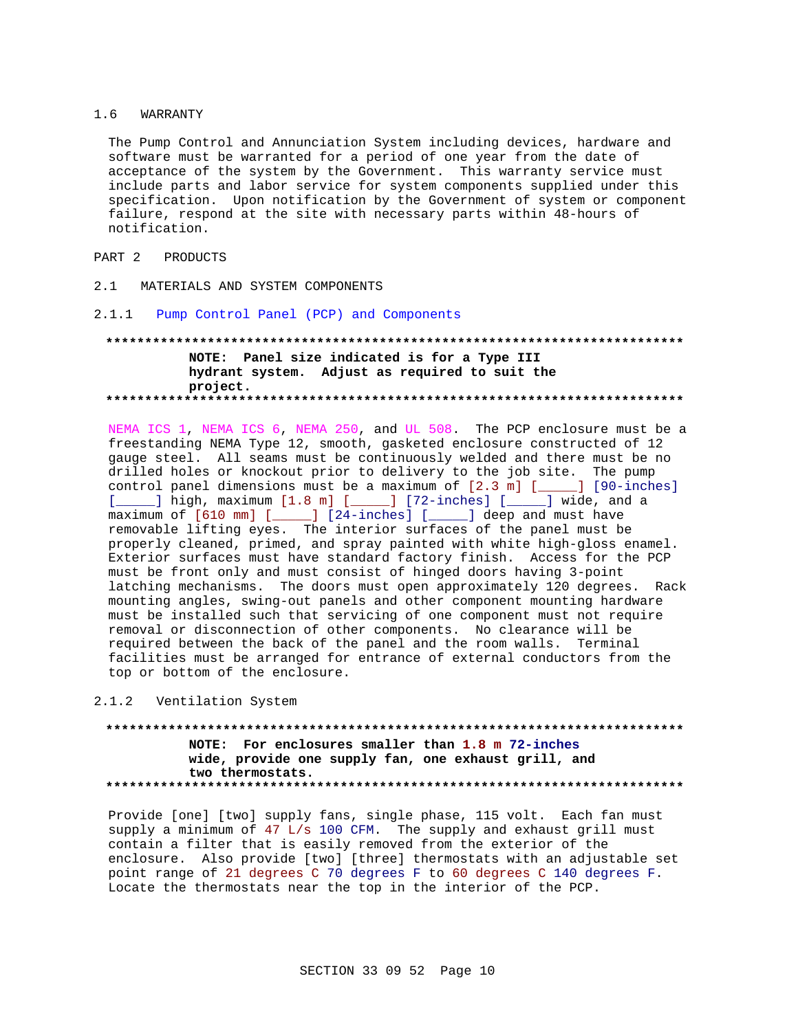#### 1.6 WARRANTY

The Pump Control and Annunciation System including devices, hardware and software must be warranted for a period of one year from the date of acceptance of the system by the Government. This warranty service must include parts and labor service for system components supplied under this specification. Upon notification by the Government of system or component failure, respond at the site with necessary parts within 48-hours of notification.

### PART 2 PRODUCTS

- 2.1 MATERIALS AND SYSTEM COMPONENTS
- 2.1.1 Pump Control Panel (PCP) and Components

### **\*\*\*\*\*\*\*\*\*\*\*\*\*\*\*\*\*\*\*\*\*\*\*\*\*\*\*\*\*\*\*\*\*\*\*\*\*\*\*\*\*\*\*\*\*\*\*\*\*\*\*\*\*\*\*\*\*\*\*\*\*\*\*\*\*\*\*\*\*\*\*\*\*\* NOTE: Panel size indicated is for a Type III hydrant system. Adjust as required to suit the project. \*\*\*\*\*\*\*\*\*\*\*\*\*\*\*\*\*\*\*\*\*\*\*\*\*\*\*\*\*\*\*\*\*\*\*\*\*\*\*\*\*\*\*\*\*\*\*\*\*\*\*\*\*\*\*\*\*\*\*\*\*\*\*\*\*\*\*\*\*\*\*\*\*\***

NEMA ICS 1, NEMA ICS 6, NEMA 250, and UL 508. The PCP enclosure must be a freestanding NEMA Type 12, smooth, gasketed enclosure constructed of 12 gauge steel. All seams must be continuously welded and there must be no drilled holes or knockout prior to delivery to the job site. The pump control panel dimensions must be a maximum of [2.3 m] [\_\_\_\_\_] [90-inches] [\_\_\_\_\_] high, maximum [1.8 m] [\_\_\_\_\_] [72-inches] [\_\_\_\_\_] wide, and a maximum of [610 mm] [\_\_\_\_\_] [24-inches] [\_\_\_\_\_] deep and must have removable lifting eyes. The interior surfaces of the panel must be properly cleaned, primed, and spray painted with white high-gloss enamel. Exterior surfaces must have standard factory finish. Access for the PCP must be front only and must consist of hinged doors having 3-point latching mechanisms. The doors must open approximately 120 degrees. Rack mounting angles, swing-out panels and other component mounting hardware must be installed such that servicing of one component must not require removal or disconnection of other components. No clearance will be required between the back of the panel and the room walls. Terminal facilities must be arranged for entrance of external conductors from the top or bottom of the enclosure.

2.1.2 Ventilation System

### **\*\*\*\*\*\*\*\*\*\*\*\*\*\*\*\*\*\*\*\*\*\*\*\*\*\*\*\*\*\*\*\*\*\*\*\*\*\*\*\*\*\*\*\*\*\*\*\*\*\*\*\*\*\*\*\*\*\*\*\*\*\*\*\*\*\*\*\*\*\*\*\*\*\* NOTE: For enclosures smaller than 1.8 m 72-inches wide, provide one supply fan, one exhaust grill, and two thermostats. \*\*\*\*\*\*\*\*\*\*\*\*\*\*\*\*\*\*\*\*\*\*\*\*\*\*\*\*\*\*\*\*\*\*\*\*\*\*\*\*\*\*\*\*\*\*\*\*\*\*\*\*\*\*\*\*\*\*\*\*\*\*\*\*\*\*\*\*\*\*\*\*\*\***

Provide [one] [two] supply fans, single phase, 115 volt. Each fan must supply a minimum of 47 L/s 100 CFM. The supply and exhaust grill must contain a filter that is easily removed from the exterior of the enclosure. Also provide [two] [three] thermostats with an adjustable set point range of 21 degrees C 70 degrees F to 60 degrees C 140 degrees F. Locate the thermostats near the top in the interior of the PCP.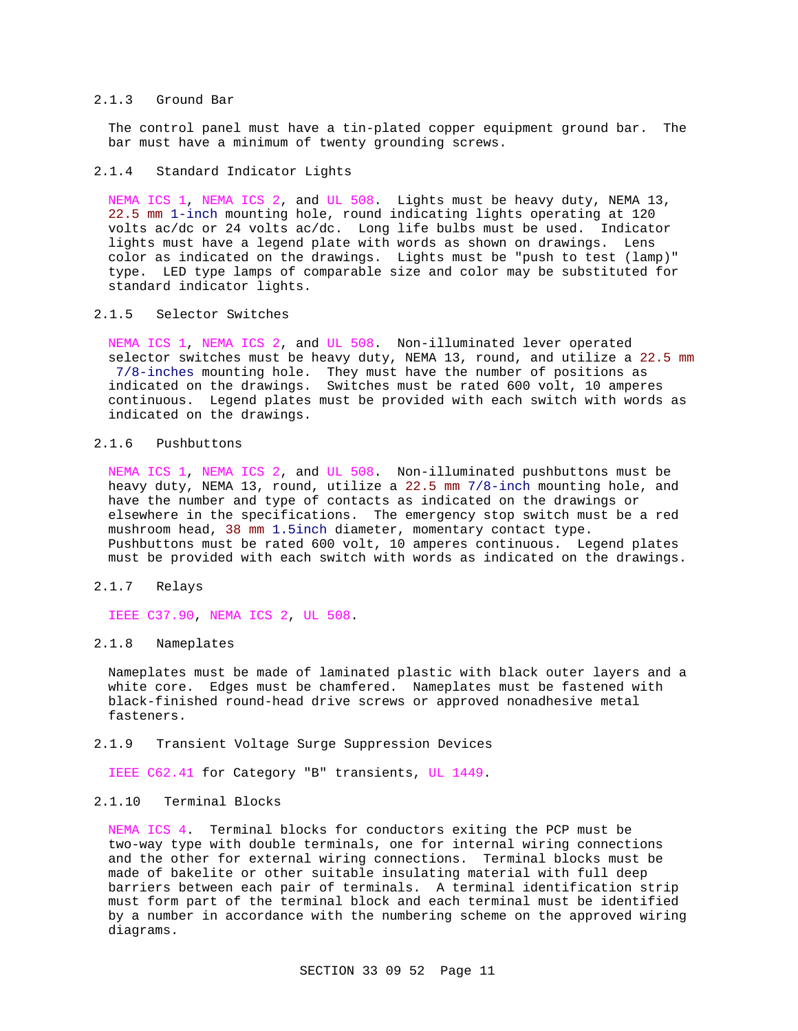#### 2.1.3 Ground Bar

The control panel must have a tin-plated copper equipment ground bar. The bar must have a minimum of twenty grounding screws.

#### 2.1.4 Standard Indicator Lights

NEMA ICS 1, NEMA ICS 2, and UL 508. Lights must be heavy duty, NEMA 13, 22.5 mm 1-inch mounting hole, round indicating lights operating at 120 volts ac/dc or 24 volts ac/dc. Long life bulbs must be used. Indicator lights must have a legend plate with words as shown on drawings. Lens color as indicated on the drawings. Lights must be "push to test (lamp)" type. LED type lamps of comparable size and color may be substituted for standard indicator lights.

# 2.1.5 Selector Switches

NEMA ICS 1, NEMA ICS 2, and UL 508. Non-illuminated lever operated selector switches must be heavy duty, NEMA 13, round, and utilize a 22.5 mm 7/8-inches mounting hole. They must have the number of positions as indicated on the drawings. Switches must be rated 600 volt, 10 amperes continuous. Legend plates must be provided with each switch with words as indicated on the drawings.

#### 2.1.6 Pushbuttons

NEMA ICS 1, NEMA ICS 2, and UL 508. Non-illuminated pushbuttons must be heavy duty, NEMA 13, round, utilize a 22.5 mm 7/8-inch mounting hole, and have the number and type of contacts as indicated on the drawings or elsewhere in the specifications. The emergency stop switch must be a red mushroom head, 38 mm 1.5inch diameter, momentary contact type. Pushbuttons must be rated 600 volt, 10 amperes continuous. Legend plates must be provided with each switch with words as indicated on the drawings.

#### 2.1.7 Relays

IEEE C37.90, NEMA ICS 2, UL 508.

#### 2.1.8 Nameplates

Nameplates must be made of laminated plastic with black outer layers and a white core. Edges must be chamfered. Nameplates must be fastened with black-finished round-head drive screws or approved nonadhesive metal fasteners.

#### 2.1.9 Transient Voltage Surge Suppression Devices

IEEE C62.41 for Category "B" transients, UL 1449.

#### 2.1.10 Terminal Blocks

NEMA ICS 4. Terminal blocks for conductors exiting the PCP must be two-way type with double terminals, one for internal wiring connections and the other for external wiring connections. Terminal blocks must be made of bakelite or other suitable insulating material with full deep barriers between each pair of terminals. A terminal identification strip must form part of the terminal block and each terminal must be identified by a number in accordance with the numbering scheme on the approved wiring diagrams.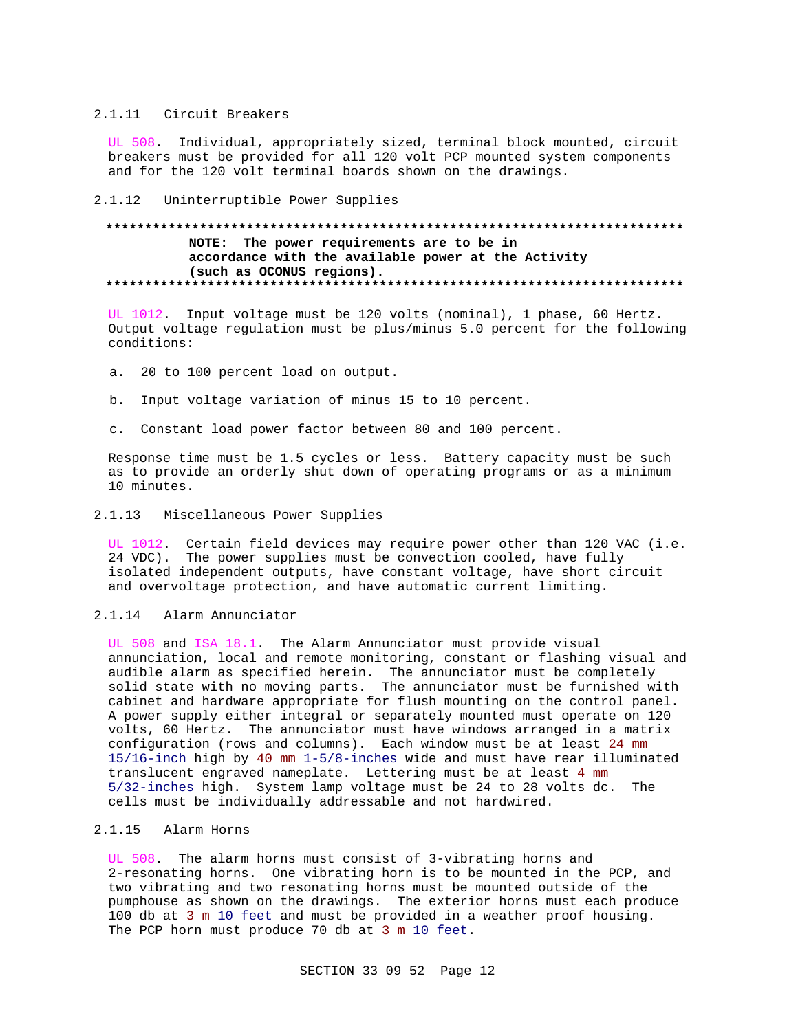#### 2.1.11 Circuit Breakers

UL 508. Individual, appropriately sized, terminal block mounted, circuit breakers must be provided for all 120 volt PCP mounted system components and for the 120 volt terminal boards shown on the drawings.

2.1.12 Uninterruptible Power Supplies

## **\*\*\*\*\*\*\*\*\*\*\*\*\*\*\*\*\*\*\*\*\*\*\*\*\*\*\*\*\*\*\*\*\*\*\*\*\*\*\*\*\*\*\*\*\*\*\*\*\*\*\*\*\*\*\*\*\*\*\*\*\*\*\*\*\*\*\*\*\*\*\*\*\*\* NOTE: The power requirements are to be in accordance with the available power at the Activity (such as OCONUS regions). \*\*\*\*\*\*\*\*\*\*\*\*\*\*\*\*\*\*\*\*\*\*\*\*\*\*\*\*\*\*\*\*\*\*\*\*\*\*\*\*\*\*\*\*\*\*\*\*\*\*\*\*\*\*\*\*\*\*\*\*\*\*\*\*\*\*\*\*\*\*\*\*\*\***

UL 1012. Input voltage must be 120 volts (nominal), 1 phase, 60 Hertz. Output voltage regulation must be plus/minus 5.0 percent for the following conditions:

- a. 20 to 100 percent load on output.
- b. Input voltage variation of minus 15 to 10 percent.
- c. Constant load power factor between 80 and 100 percent.

Response time must be 1.5 cycles or less. Battery capacity must be such as to provide an orderly shut down of operating programs or as a minimum 10 minutes.

#### 2.1.13 Miscellaneous Power Supplies

UL 1012. Certain field devices may require power other than 120 VAC (i.e. 24 VDC). The power supplies must be convection cooled, have fully isolated independent outputs, have constant voltage, have short circuit and overvoltage protection, and have automatic current limiting.

2.1.14 Alarm Annunciator

UL 508 and ISA 18.1. The Alarm Annunciator must provide visual annunciation, local and remote monitoring, constant or flashing visual and audible alarm as specified herein. The annunciator must be completely solid state with no moving parts. The annunciator must be furnished with cabinet and hardware appropriate for flush mounting on the control panel. A power supply either integral or separately mounted must operate on 120 volts, 60 Hertz. The annunciator must have windows arranged in a matrix configuration (rows and columns). Each window must be at least 24 mm 15/16-inch high by 40 mm 1-5/8-inches wide and must have rear illuminated translucent engraved nameplate. Lettering must be at least 4 mm 5/32-inches high. System lamp voltage must be 24 to 28 volts dc. The cells must be individually addressable and not hardwired.

# 2.1.15 Alarm Horns

UL 508. The alarm horns must consist of 3-vibrating horns and 2-resonating horns. One vibrating horn is to be mounted in the PCP, and two vibrating and two resonating horns must be mounted outside of the pumphouse as shown on the drawings. The exterior horns must each produce 100 db at 3 m 10 feet and must be provided in a weather proof housing. The PCP horn must produce 70 db at 3 m 10 feet.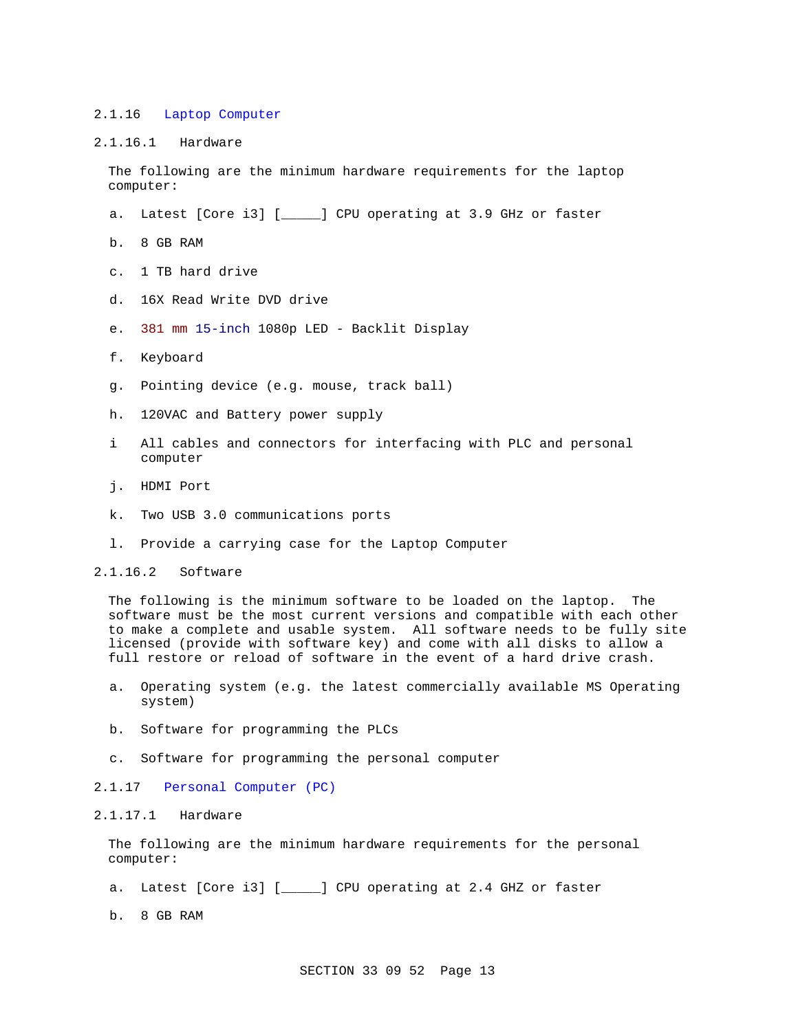#### 2.1.16 Laptop Computer

### 2.1.16.1 Hardware

The following are the minimum hardware requirements for the laptop computer:

- a. Latest [Core i3] [\_\_\_\_\_] CPU operating at 3.9 GHz or faster
- b. 8 GB RAM
- c. 1 TB hard drive
- d. 16X Read Write DVD drive
- e. 381 mm 15-inch 1080p LED Backlit Display
- f. Keyboard
- g. Pointing device (e.g. mouse, track ball)
- h. 120VAC and Battery power supply
- i All cables and connectors for interfacing with PLC and personal computer
- j. HDMI Port
- k. Two USB 3.0 communications ports
- l. Provide a carrying case for the Laptop Computer

## 2.1.16.2 Software

The following is the minimum software to be loaded on the laptop. The software must be the most current versions and compatible with each other to make a complete and usable system. All software needs to be fully site licensed (provide with software key) and come with all disks to allow a full restore or reload of software in the event of a hard drive crash.

- a. Operating system (e.g. the latest commercially available MS Operating system)
- b. Software for programming the PLCs
- c. Software for programming the personal computer
- 2.1.17 Personal Computer (PC)

#### 2.1.17.1 Hardware

The following are the minimum hardware requirements for the personal computer:

a. Latest [Core i3] [\_\_\_\_\_] CPU operating at 2.4 GHZ or faster

b. 8 GB RAM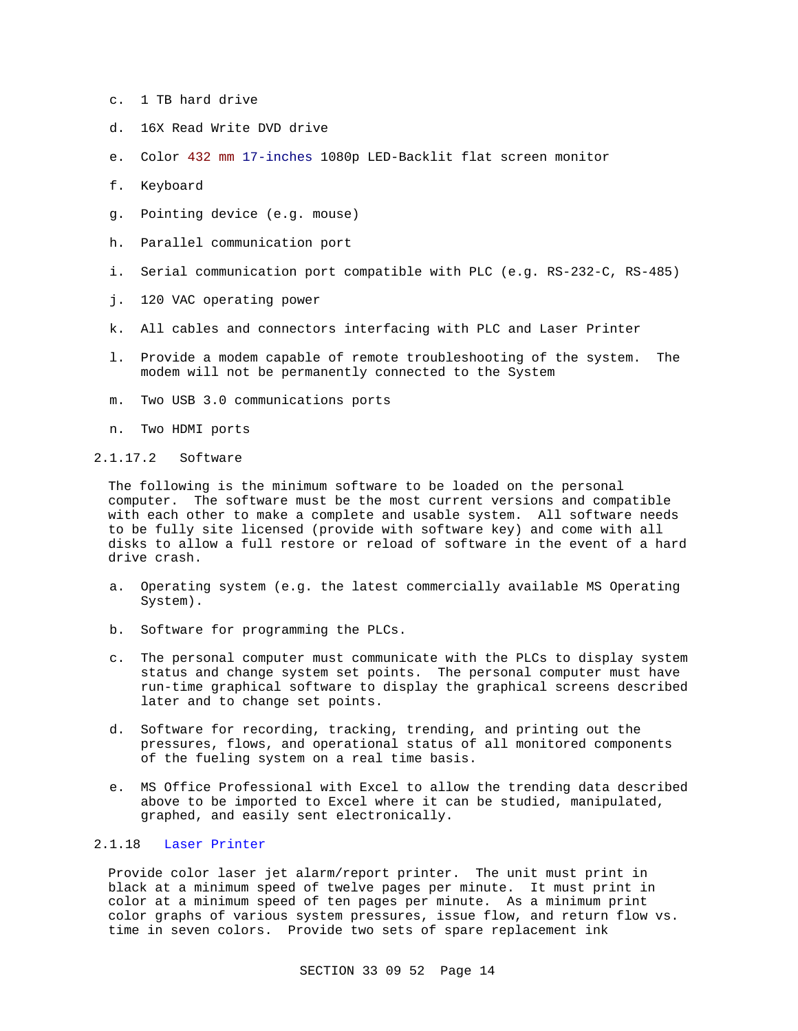- c. 1 TB hard drive
- d. 16X Read Write DVD drive
- e. Color 432 mm 17-inches 1080p LED-Backlit flat screen monitor
- f. Keyboard
- g. Pointing device (e.g. mouse)
- h. Parallel communication port
- i. Serial communication port compatible with PLC (e.g. RS-232-C, RS-485)
- j. 120 VAC operating power
- k. All cables and connectors interfacing with PLC and Laser Printer
- l. Provide a modem capable of remote troubleshooting of the system. The modem will not be permanently connected to the System
- m. Two USB 3.0 communications ports
- n. Two HDMI ports
- 2.1.17.2 Software

The following is the minimum software to be loaded on the personal computer. The software must be the most current versions and compatible with each other to make a complete and usable system. All software needs to be fully site licensed (provide with software key) and come with all disks to allow a full restore or reload of software in the event of a hard drive crash.

- a. Operating system (e.g. the latest commercially available MS Operating System).
- b. Software for programming the PLCs.
- c. The personal computer must communicate with the PLCs to display system status and change system set points. The personal computer must have run-time graphical software to display the graphical screens described later and to change set points.
- d. Software for recording, tracking, trending, and printing out the pressures, flows, and operational status of all monitored components of the fueling system on a real time basis.
- e. MS Office Professional with Excel to allow the trending data described above to be imported to Excel where it can be studied, manipulated, graphed, and easily sent electronically.

#### 2.1.18 Laser Printer

Provide color laser jet alarm/report printer. The unit must print in black at a minimum speed of twelve pages per minute. It must print in color at a minimum speed of ten pages per minute. As a minimum print color graphs of various system pressures, issue flow, and return flow vs. time in seven colors. Provide two sets of spare replacement ink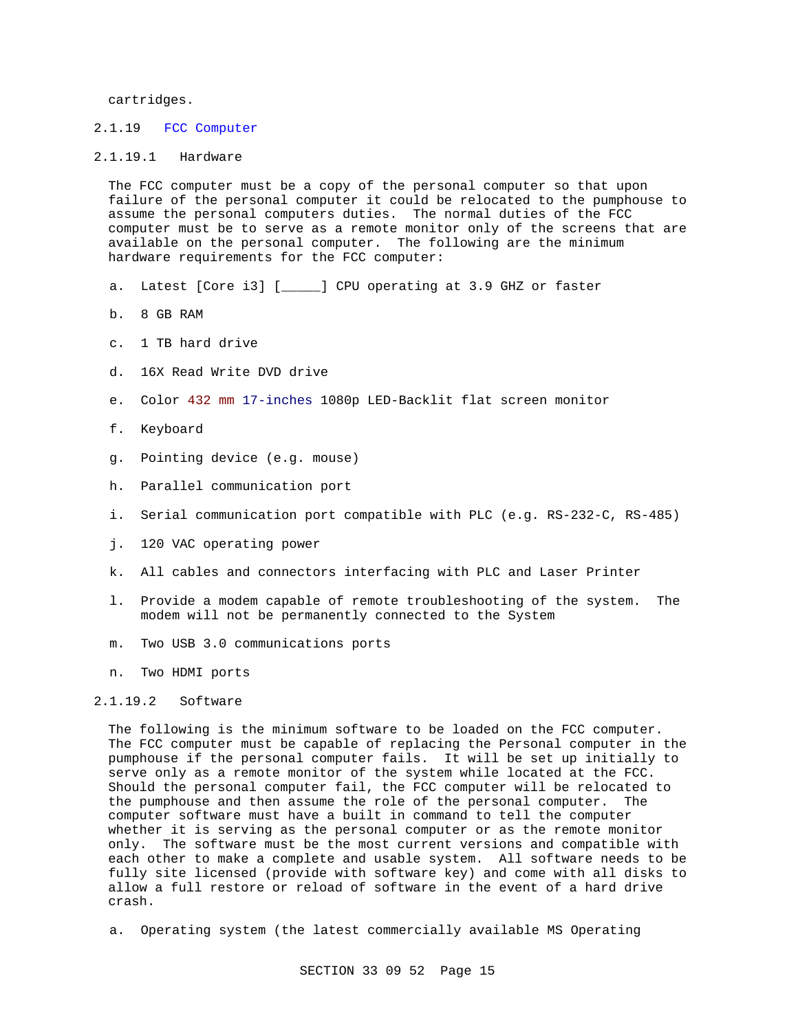cartridges.

#### 2.1.19 FCC Computer

#### 2.1.19.1 Hardware

The FCC computer must be a copy of the personal computer so that upon failure of the personal computer it could be relocated to the pumphouse to assume the personal computers duties. The normal duties of the FCC computer must be to serve as a remote monitor only of the screens that are available on the personal computer. The following are the minimum hardware requirements for the FCC computer:

- a. Latest [Core i3] [\_\_\_\_\_] CPU operating at 3.9 GHZ or faster
- b. 8 GB RAM
- c. 1 TB hard drive
- d. 16X Read Write DVD drive
- e. Color 432 mm 17-inches 1080p LED-Backlit flat screen monitor
- f. Keyboard
- g. Pointing device (e.g. mouse)
- h. Parallel communication port
- i. Serial communication port compatible with PLC (e.g. RS-232-C, RS-485)
- j. 120 VAC operating power
- k. All cables and connectors interfacing with PLC and Laser Printer
- l. Provide a modem capable of remote troubleshooting of the system. The modem will not be permanently connected to the System
- m. Two USB 3.0 communications ports
- n. Two HDMI ports

#### 2.1.19.2 Software

The following is the minimum software to be loaded on the FCC computer. The FCC computer must be capable of replacing the Personal computer in the pumphouse if the personal computer fails. It will be set up initially to serve only as a remote monitor of the system while located at the FCC. Should the personal computer fail, the FCC computer will be relocated to the pumphouse and then assume the role of the personal computer. The computer software must have a built in command to tell the computer whether it is serving as the personal computer or as the remote monitor only. The software must be the most current versions and compatible with each other to make a complete and usable system. All software needs to be fully site licensed (provide with software key) and come with all disks to allow a full restore or reload of software in the event of a hard drive crash.

a. Operating system (the latest commercially available MS Operating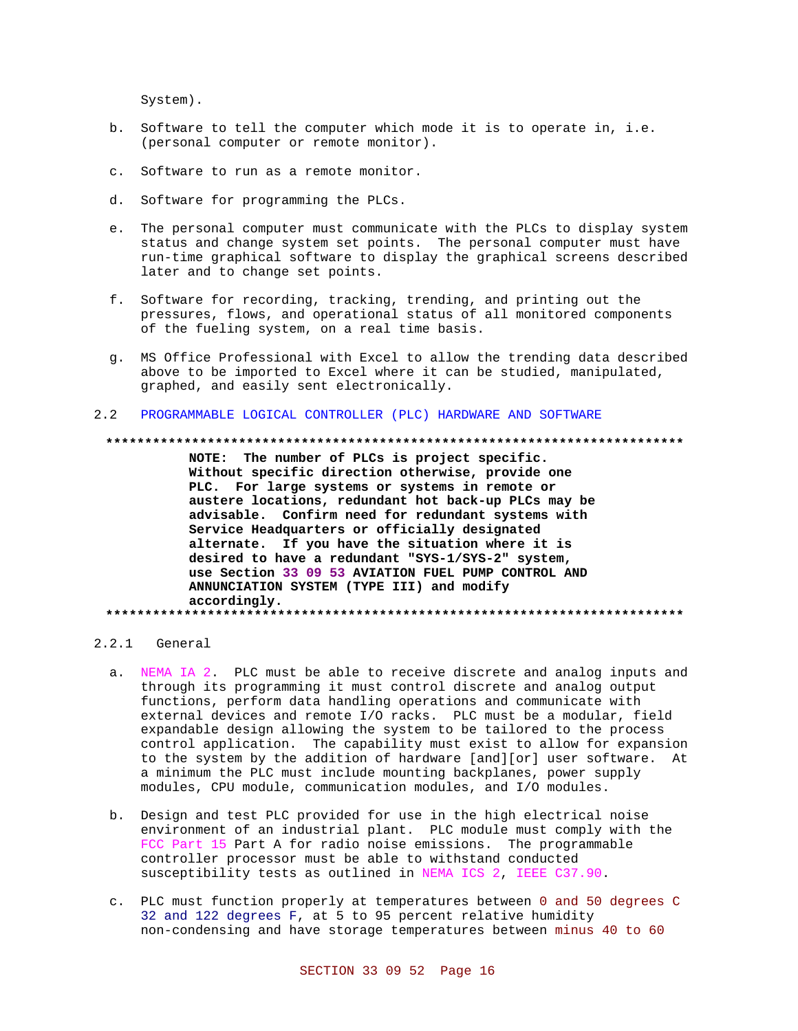System).

- b. Software to tell the computer which mode it is to operate in, i.e. (personal computer or remote monitor).
- c. Software to run as a remote monitor.
- d. Software for programming the PLCs.
- e. The personal computer must communicate with the PLCs to display system status and change system set points. The personal computer must have run-time graphical software to display the graphical screens described later and to change set points.
- f. Software for recording, tracking, trending, and printing out the pressures, flows, and operational status of all monitored components of the fueling system, on a real time basis.
- g. MS Office Professional with Excel to allow the trending data described above to be imported to Excel where it can be studied, manipulated, graphed, and easily sent electronically.
- PROGRAMMABLE LOGICAL CONTROLLER (PLC) HARDWARE AND SOFTWARE  $2.2$

#### 

NOTE: The number of PLCs is project specific. Without specific direction otherwise, provide one PLC. For large systems or systems in remote or austere locations, redundant hot back-up PLCs may be advisable. Confirm need for redundant systems with Service Headquarters or officially designated alternate. If you have the situation where it is desired to have a redundant "SYS-1/SYS-2" system, use Section 33 09 53 AVIATION FUEL PUMP CONTROL AND ANNUNCIATION SYSTEM (TYPE III) and modify accordingly. 

# 2.2.1 General

- a. NEMA IA 2. PLC must be able to receive discrete and analog inputs and through its programming it must control discrete and analog output functions, perform data handling operations and communicate with external devices and remote I/O racks. PLC must be a modular, field expandable design allowing the system to be tailored to the process control application. The capability must exist to allow for expansion to the system by the addition of hardware [and][or] user software. At a minimum the PLC must include mounting backplanes, power supply modules, CPU module, communication modules, and I/O modules.
- b. Design and test PLC provided for use in the high electrical noise environment of an industrial plant. PLC module must comply with the FCC Part 15 Part A for radio noise emissions. The programmable controller processor must be able to withstand conducted susceptibility tests as outlined in NEMA ICS 2, IEEE C37.90.
- c. PLC must function properly at temperatures between 0 and 50 degrees C 32 and 122 degrees F, at 5 to 95 percent relative humidity non-condensing and have storage temperatures between minus 40 to 60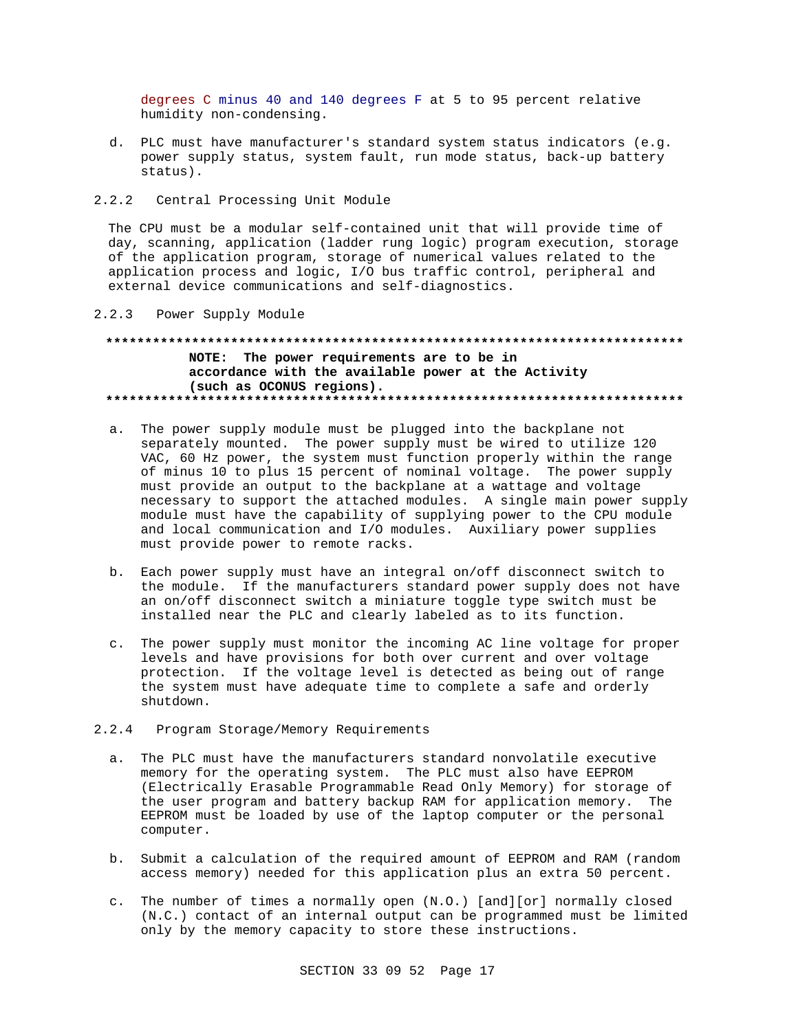degrees C minus 40 and 140 degrees F at 5 to 95 percent relative humidity non-condensing.

- d. PLC must have manufacturer's standard system status indicators (e.g. power supply status, system fault, run mode status, back-up battery status).
- $2.2.2$ Central Processing Unit Module

The CPU must be a modular self-contained unit that will provide time of day, scanning, application (ladder rung logic) program execution, storage of the application program, storage of numerical values related to the application process and logic, I/O bus traffic control, peripheral and external device communications and self-diagnostics.

 $2.2.3$ Power Supply Module

# NOTE: The power requirements are to be in accordance with the available power at the Activity (such as OCONUS regions).

- a. The power supply module must be plugged into the backplane not separately mounted. The power supply must be wired to utilize 120 VAC, 60 Hz power, the system must function properly within the range of minus 10 to plus 15 percent of nominal voltage. The power supply must provide an output to the backplane at a wattage and voltage necessary to support the attached modules. A single main power supply module must have the capability of supplying power to the CPU module and local communication and I/O modules. Auxiliary power supplies must provide power to remote racks.
- b. Each power supply must have an integral on/off disconnect switch to the module. If the manufacturers standard power supply does not have an on/off disconnect switch a miniature toggle type switch must be installed near the PLC and clearly labeled as to its function.
- c. The power supply must monitor the incoming AC line voltage for proper levels and have provisions for both over current and over voltage protection. If the voltage level is detected as being out of range the system must have adequate time to complete a safe and orderly shutdown.

#### $2.2.4$ Program Storage/Memory Requirements

- a. The PLC must have the manufacturers standard nonvolatile executive memory for the operating system. The PLC must also have EEPROM (Electrically Erasable Programmable Read Only Memory) for storage of the user program and battery backup RAM for application memory. The EEPROM must be loaded by use of the laptop computer or the personal computer.
- b. Submit a calculation of the required amount of EEPROM and RAM (random access memory) needed for this application plus an extra 50 percent.
- c. The number of times a normally open (N.O.) [and][or] normally closed (N.C.) contact of an internal output can be programmed must be limited only by the memory capacity to store these instructions.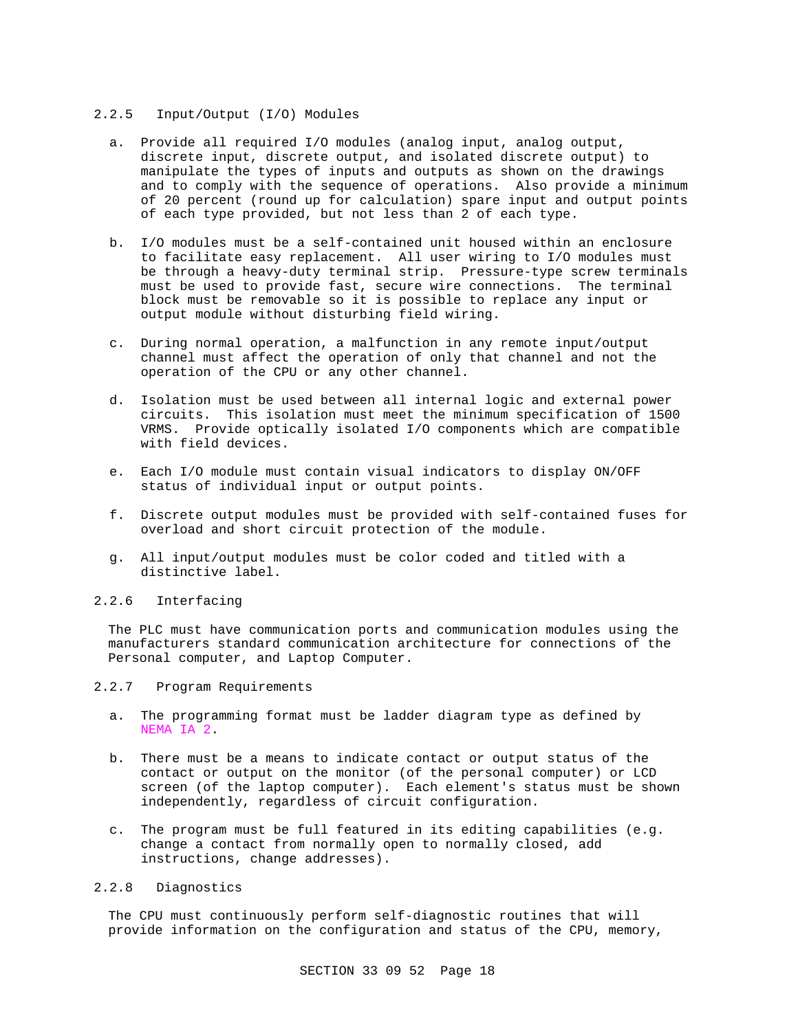#### 2.2.5 Input/Output (I/O) Modules

- a. Provide all required I/O modules (analog input, analog output, discrete input, discrete output, and isolated discrete output) to manipulate the types of inputs and outputs as shown on the drawings and to comply with the sequence of operations. Also provide a minimum of 20 percent (round up for calculation) spare input and output points of each type provided, but not less than 2 of each type.
- b. I/O modules must be a self-contained unit housed within an enclosure to facilitate easy replacement. All user wiring to I/O modules must be through a heavy-duty terminal strip. Pressure-type screw terminals must be used to provide fast, secure wire connections. The terminal block must be removable so it is possible to replace any input or output module without disturbing field wiring.
- c. During normal operation, a malfunction in any remote input/output channel must affect the operation of only that channel and not the operation of the CPU or any other channel.
- d. Isolation must be used between all internal logic and external power circuits. This isolation must meet the minimum specification of 1500 VRMS. Provide optically isolated I/O components which are compatible with field devices.
- e. Each I/O module must contain visual indicators to display ON/OFF status of individual input or output points.
- f. Discrete output modules must be provided with self-contained fuses for overload and short circuit protection of the module.
- g. All input/output modules must be color coded and titled with a distinctive label.

#### 2.2.6 Interfacing

The PLC must have communication ports and communication modules using the manufacturers standard communication architecture for connections of the Personal computer, and Laptop Computer.

#### 2.2.7 Program Requirements

- a. The programming format must be ladder diagram type as defined by NEMA IA 2.
- b. There must be a means to indicate contact or output status of the contact or output on the monitor (of the personal computer) or LCD screen (of the laptop computer). Each element's status must be shown independently, regardless of circuit configuration.
- c. The program must be full featured in its editing capabilities (e.g. change a contact from normally open to normally closed, add instructions, change addresses).

# 2.2.8 Diagnostics

The CPU must continuously perform self-diagnostic routines that will provide information on the configuration and status of the CPU, memory,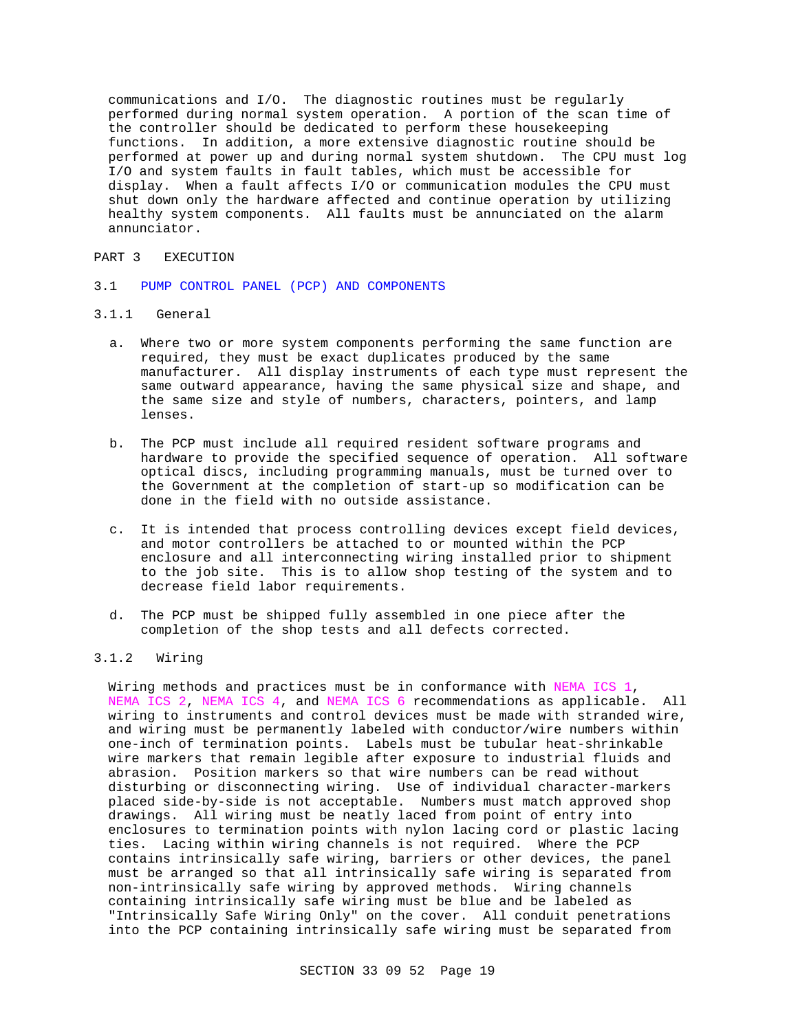communications and I/O. The diagnostic routines must be regularly performed during normal system operation. A portion of the scan time of the controller should be dedicated to perform these housekeeping functions. In addition, a more extensive diagnostic routine should be performed at power up and during normal system shutdown. The CPU must log I/O and system faults in fault tables, which must be accessible for display. When a fault affects I/O or communication modules the CPU must shut down only the hardware affected and continue operation by utilizing healthy system components. All faults must be annunciated on the alarm annunciator.

### PART 3 EXECUTION

3.1 PUMP CONTROL PANEL (PCP) AND COMPONENTS

# 3.1.1 General

- a. Where two or more system components performing the same function are required, they must be exact duplicates produced by the same manufacturer. All display instruments of each type must represent the same outward appearance, having the same physical size and shape, and the same size and style of numbers, characters, pointers, and lamp lenses.
- b. The PCP must include all required resident software programs and hardware to provide the specified sequence of operation. All software optical discs, including programming manuals, must be turned over to the Government at the completion of start-up so modification can be done in the field with no outside assistance.
- c. It is intended that process controlling devices except field devices, and motor controllers be attached to or mounted within the PCP enclosure and all interconnecting wiring installed prior to shipment to the job site. This is to allow shop testing of the system and to decrease field labor requirements.
- d. The PCP must be shipped fully assembled in one piece after the completion of the shop tests and all defects corrected.

# 3.1.2 Wiring

Wiring methods and practices must be in conformance with NEMA ICS 1, NEMA ICS 2, NEMA ICS 4, and NEMA ICS 6 recommendations as applicable. All wiring to instruments and control devices must be made with stranded wire, and wiring must be permanently labeled with conductor/wire numbers within one-inch of termination points. Labels must be tubular heat-shrinkable wire markers that remain legible after exposure to industrial fluids and abrasion. Position markers so that wire numbers can be read without disturbing or disconnecting wiring. Use of individual character-markers placed side-by-side is not acceptable. Numbers must match approved shop drawings. All wiring must be neatly laced from point of entry into enclosures to termination points with nylon lacing cord or plastic lacing ties. Lacing within wiring channels is not required. Where the PCP contains intrinsically safe wiring, barriers or other devices, the panel must be arranged so that all intrinsically safe wiring is separated from non-intrinsically safe wiring by approved methods. Wiring channels containing intrinsically safe wiring must be blue and be labeled as "Intrinsically Safe Wiring Only" on the cover. All conduit penetrations into the PCP containing intrinsically safe wiring must be separated from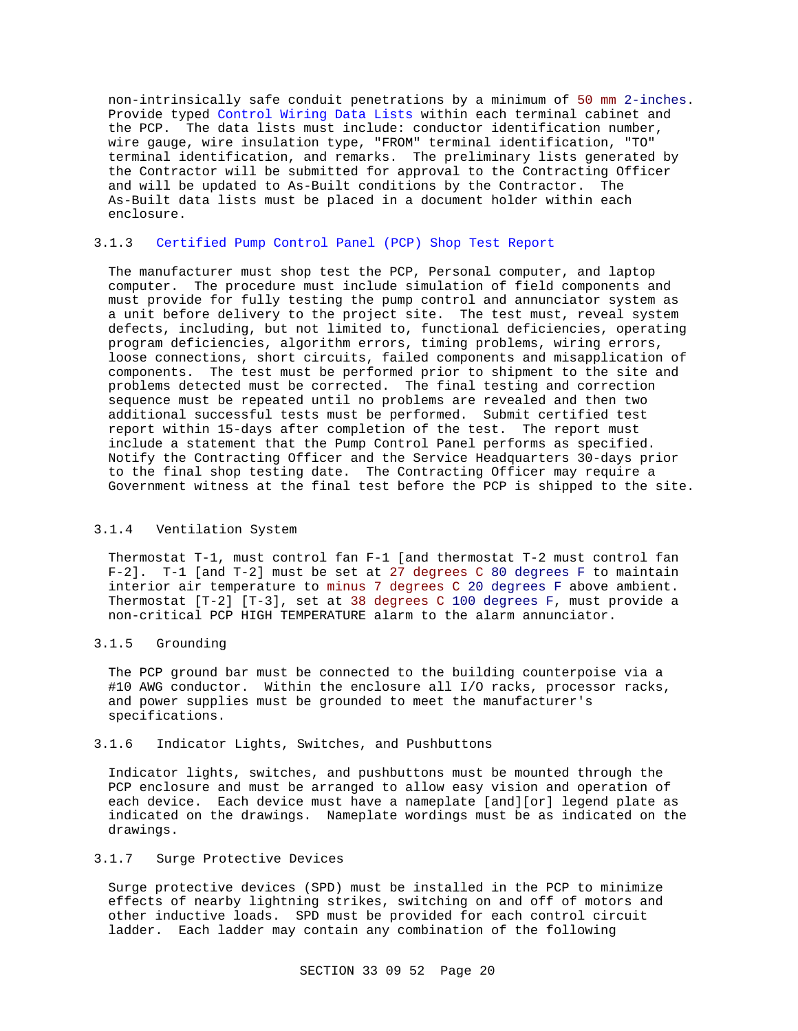non-intrinsically safe conduit penetrations by a minimum of 50 mm 2-inches. Provide typed Control Wiring Data Lists within each terminal cabinet and the PCP. The data lists must include: conductor identification number, wire gauge, wire insulation type, "FROM" terminal identification, "TO" terminal identification, and remarks. The preliminary lists generated by the Contractor will be submitted for approval to the Contracting Officer and will be updated to As-Built conditions by the Contractor. The As-Built data lists must be placed in a document holder within each enclosure.

#### 3.1.3 Certified Pump Control Panel (PCP) Shop Test Report

The manufacturer must shop test the PCP, Personal computer, and laptop computer. The procedure must include simulation of field components and must provide for fully testing the pump control and annunciator system as a unit before delivery to the project site. The test must, reveal system defects, including, but not limited to, functional deficiencies, operating program deficiencies, algorithm errors, timing problems, wiring errors, loose connections, short circuits, failed components and misapplication of components. The test must be performed prior to shipment to the site and problems detected must be corrected. The final testing and correction sequence must be repeated until no problems are revealed and then two additional successful tests must be performed. Submit certified test report within 15-days after completion of the test. The report must include a statement that the Pump Control Panel performs as specified. Notify the Contracting Officer and the Service Headquarters 30-days prior to the final shop testing date. The Contracting Officer may require a Government witness at the final test before the PCP is shipped to the site.

#### 3.1.4 Ventilation System

Thermostat T-1, must control fan F-1 [and thermostat T-2 must control fan F-2]. T-1 [and T-2] must be set at 27 degrees C 80 degrees F to maintain interior air temperature to minus 7 degrees C 20 degrees F above ambient. Thermostat [T-2] [T-3], set at 38 degrees C 100 degrees F, must provide a non-critical PCP HIGH TEMPERATURE alarm to the alarm annunciator.

#### 3.1.5 Grounding

The PCP ground bar must be connected to the building counterpoise via a #10 AWG conductor. Within the enclosure all I/O racks, processor racks, and power supplies must be grounded to meet the manufacturer's specifications.

#### 3.1.6 Indicator Lights, Switches, and Pushbuttons

Indicator lights, switches, and pushbuttons must be mounted through the PCP enclosure and must be arranged to allow easy vision and operation of each device. Each device must have a nameplate [and][or] legend plate as indicated on the drawings. Nameplate wordings must be as indicated on the drawings.

### 3.1.7 Surge Protective Devices

Surge protective devices (SPD) must be installed in the PCP to minimize effects of nearby lightning strikes, switching on and off of motors and other inductive loads. SPD must be provided for each control circuit ladder. Each ladder may contain any combination of the following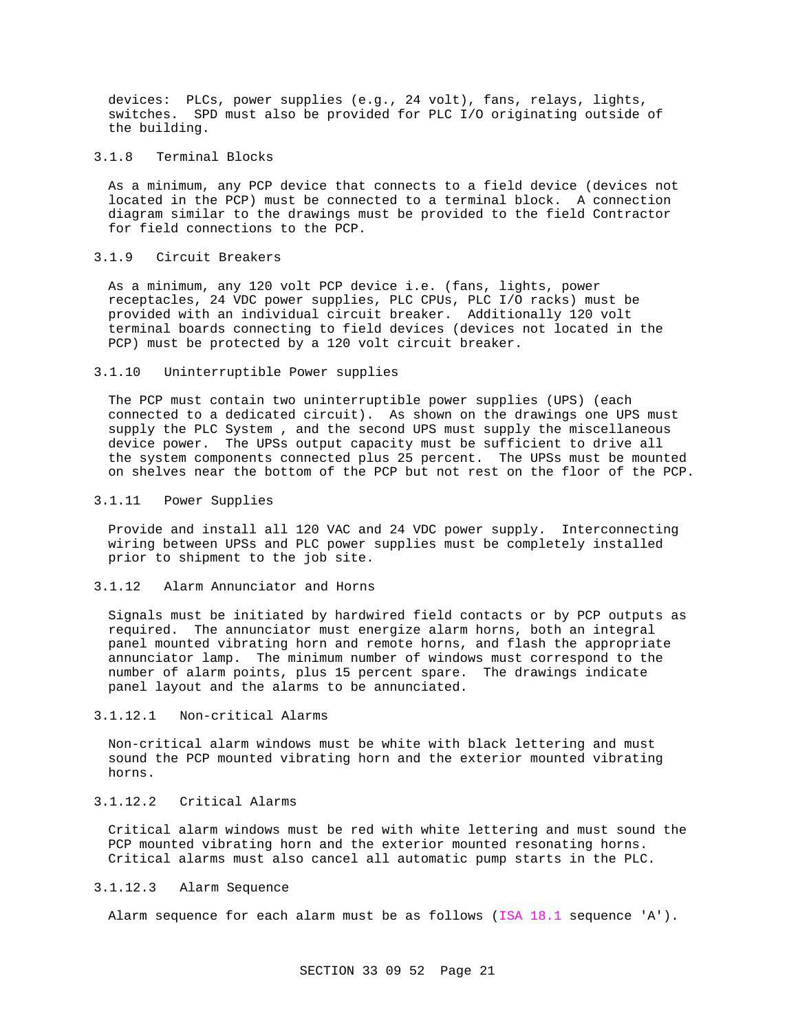devices: PLCs, power supplies (e.g., 24 volt), fans, relays, lights, switches. SPD must also be provided for PLC I/O originating outside of the building.

#### 3.1.8 Terminal Blocks

As a minimum, any PCP device that connects to a field device (devices not located in the PCP) must be connected to a terminal block. A connection diagram similar to the drawings must be provided to the field Contractor for field connections to the PCP.

### 3.1.9 Circuit Breakers

As a minimum, any 120 volt PCP device i.e. (fans, lights, power receptacles, 24 VDC power supplies, PLC CPUs, PLC I/O racks) must be provided with an individual circuit breaker. Additionally 120 volt terminal boards connecting to field devices (devices not located in the PCP) must be protected by a 120 volt circuit breaker.

#### 3.1.10 Uninterruptible Power supplies

The PCP must contain two uninterruptible power supplies (UPS) (each connected to a dedicated circuit). As shown on the drawings one UPS must supply the PLC System , and the second UPS must supply the miscellaneous device power. The UPSs output capacity must be sufficient to drive all the system components connected plus 25 percent. The UPSs must be mounted on shelves near the bottom of the PCP but not rest on the floor of the PCP.

#### 3.1.11 Power Supplies

Provide and install all 120 VAC and 24 VDC power supply. Interconnecting wiring between UPSs and PLC power supplies must be completely installed prior to shipment to the job site.

#### 3.1.12 Alarm Annunciator and Horns

Signals must be initiated by hardwired field contacts or by PCP outputs as required. The annunciator must energize alarm horns, both an integral panel mounted vibrating horn and remote horns, and flash the appropriate annunciator lamp. The minimum number of windows must correspond to the number of alarm points, plus 15 percent spare. The drawings indicate panel layout and the alarms to be annunciated.

#### 3.1.12.1 Non-critical Alarms

Non-critical alarm windows must be white with black lettering and must sound the PCP mounted vibrating horn and the exterior mounted vibrating horns.

# 3.1.12.2 Critical Alarms

Critical alarm windows must be red with white lettering and must sound the PCP mounted vibrating horn and the exterior mounted resonating horns. Critical alarms must also cancel all automatic pump starts in the PLC.

### 3.1.12.3 Alarm Sequence

Alarm sequence for each alarm must be as follows (ISA  $18.1$  sequence 'A').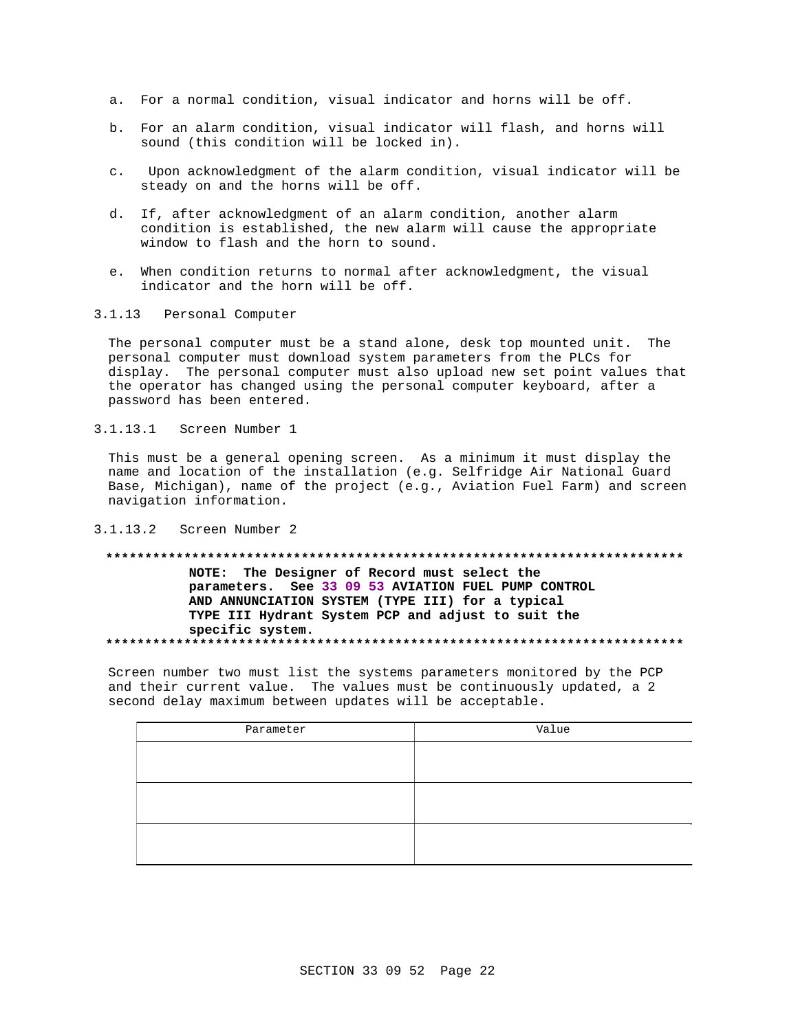- a. For a normal condition, visual indicator and horns will be off.
- b. For an alarm condition, visual indicator will flash, and horns will sound (this condition will be locked in).
- Upon acknowledgment of the alarm condition, visual indicator will be  $\mathsf{C}$ . steady on and the horns will be off.
- d. If, after acknowledgment of an alarm condition, another alarm condition is established, the new alarm will cause the appropriate window to flash and the horn to sound.
- e. When condition returns to normal after acknowledgment, the visual indicator and the horn will be off.
- $3.1.13$ Personal Computer

The personal computer must be a stand alone, desk top mounted unit. The personal computer must download system parameters from the PLCs for display. The personal computer must also upload new set point values that the operator has changed using the personal computer keyboard, after a password has been entered.

 $3.1.13.1$ Screen Number 1

This must be a general opening screen. As a minimum it must display the name and location of the installation (e.g. Selfridge Air National Guard Base, Michigan), name of the project (e.g., Aviation Fuel Farm) and screen navigation information.

 $3.1.13.2$ Screen Number 2

## NOTE: The Designer of Record must select the parameters. See 33 09 53 AVIATION FUEL PUMP CONTROL

AND ANNUNCIATION SYSTEM (TYPE III) for a typical TYPE III Hydrant System PCP and adjust to suit the specific system. 

Screen number two must list the systems parameters monitored by the PCP and their current value. The values must be continuously updated, a 2 second delay maximum between updates will be acceptable.

| Parameter | Value |  |
|-----------|-------|--|
|           |       |  |
|           |       |  |
|           |       |  |
|           |       |  |
|           |       |  |
|           |       |  |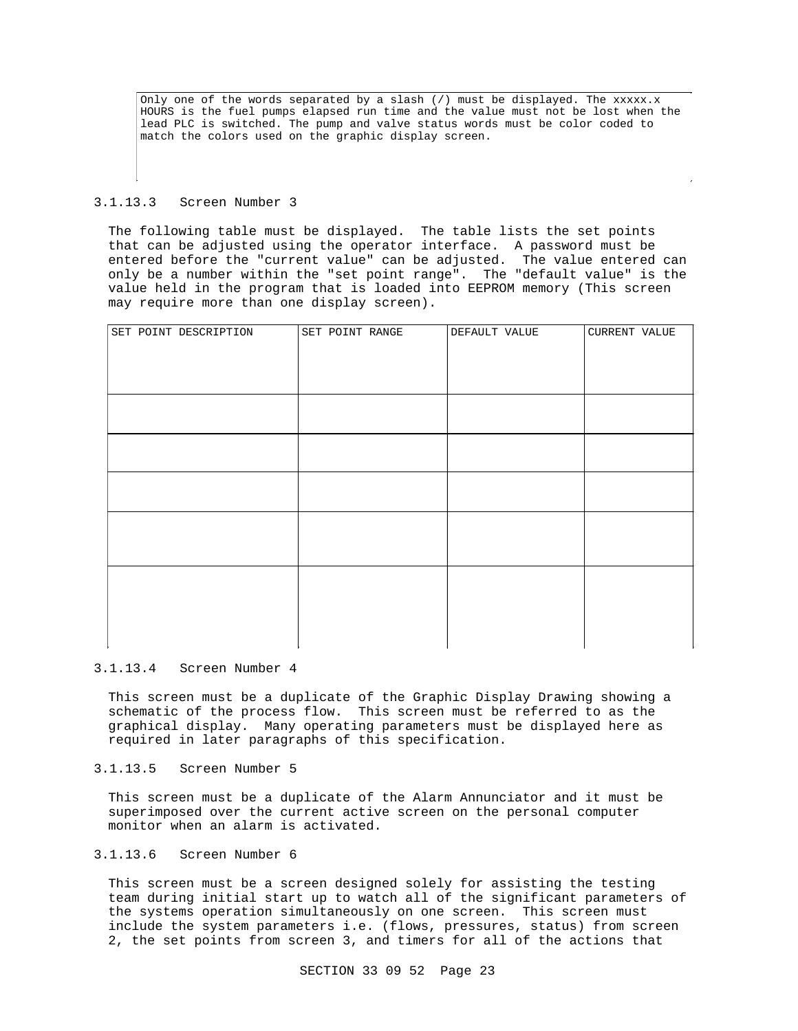Only one of the words separated by a slash  $\binom{7}{1}$  must be displayed. The xxxxx.x HOURS is the fuel pumps elapsed run time and the value must not be lost when the lead PLC is switched. The pump and valve status words must be color coded to match the colors used on the graphic display screen.

#### 3.1.13.3 Screen Number 3

The following table must be displayed. The table lists the set points that can be adjusted using the operator interface. A password must be entered before the "current value" can be adjusted. The value entered can only be a number within the "set point range". The "default value" is the value held in the program that is loaded into EEPROM memory (This screen may require more than one display screen).

| SET POINT DESCRIPTION | SET POINT RANGE | DEFAULT VALUE | CURRENT VALUE |
|-----------------------|-----------------|---------------|---------------|
|                       |                 |               |               |
|                       |                 |               |               |
|                       |                 |               |               |
|                       |                 |               |               |
|                       |                 |               |               |
|                       |                 |               |               |
|                       |                 |               |               |
|                       |                 |               |               |
|                       |                 |               |               |
|                       |                 |               |               |
|                       |                 |               |               |
|                       |                 |               |               |
|                       |                 |               |               |
|                       |                 |               |               |
|                       |                 |               |               |
|                       |                 |               |               |
|                       |                 |               |               |

#### 3.1.13.4 Screen Number 4

This screen must be a duplicate of the Graphic Display Drawing showing a schematic of the process flow. This screen must be referred to as the graphical display. Many operating parameters must be displayed here as required in later paragraphs of this specification.

#### 3.1.13.5 Screen Number 5

This screen must be a duplicate of the Alarm Annunciator and it must be superimposed over the current active screen on the personal computer monitor when an alarm is activated.

#### 3.1.13.6 Screen Number 6

This screen must be a screen designed solely for assisting the testing team during initial start up to watch all of the significant parameters of the systems operation simultaneously on one screen. This screen must include the system parameters i.e. (flows, pressures, status) from screen 2, the set points from screen 3, and timers for all of the actions that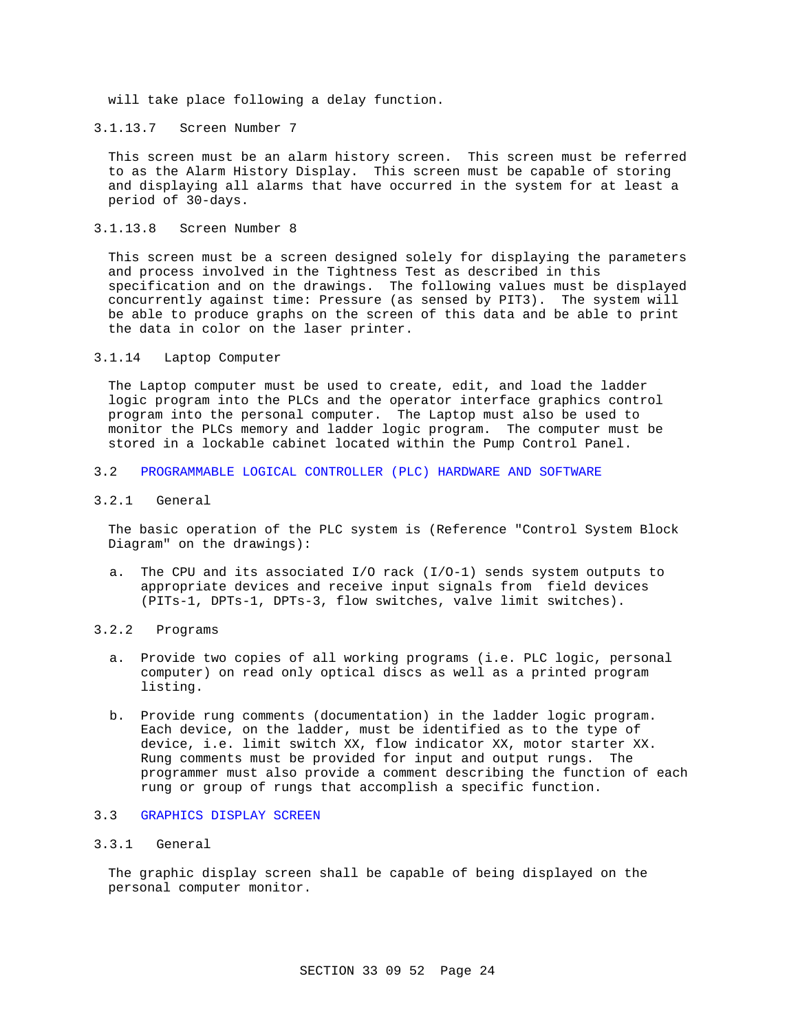will take place following a delay function.

3.1.13.7 Screen Number 7

This screen must be an alarm history screen. This screen must be referred to as the Alarm History Display. This screen must be capable of storing and displaying all alarms that have occurred in the system for at least a period of 30-days.

3.1.13.8 Screen Number 8

This screen must be a screen designed solely for displaying the parameters and process involved in the Tightness Test as described in this specification and on the drawings. The following values must be displayed concurrently against time: Pressure (as sensed by PIT3). The system will be able to produce graphs on the screen of this data and be able to print the data in color on the laser printer.

#### 3.1.14 Laptop Computer

The Laptop computer must be used to create, edit, and load the ladder logic program into the PLCs and the operator interface graphics control program into the personal computer. The Laptop must also be used to monitor the PLCs memory and ladder logic program. The computer must be stored in a lockable cabinet located within the Pump Control Panel.

- 3.2 PROGRAMMABLE LOGICAL CONTROLLER (PLC) HARDWARE AND SOFTWARE
- 3.2.1 General

The basic operation of the PLC system is (Reference "Control System Block Diagram" on the drawings):

- a. The CPU and its associated I/O rack (I/O-1) sends system outputs to appropriate devices and receive input signals from field devices (PITs-1, DPTs-1, DPTs-3, flow switches, valve limit switches).
- 3.2.2 Programs
	- a. Provide two copies of all working programs (i.e. PLC logic, personal computer) on read only optical discs as well as a printed program listing.
	- b. Provide rung comments (documentation) in the ladder logic program. Each device, on the ladder, must be identified as to the type of device, i.e. limit switch XX, flow indicator XX, motor starter XX. Rung comments must be provided for input and output rungs. The programmer must also provide a comment describing the function of each rung or group of rungs that accomplish a specific function.

# 3.3 GRAPHICS DISPLAY SCREEN

## 3.3.1 General

The graphic display screen shall be capable of being displayed on the personal computer monitor.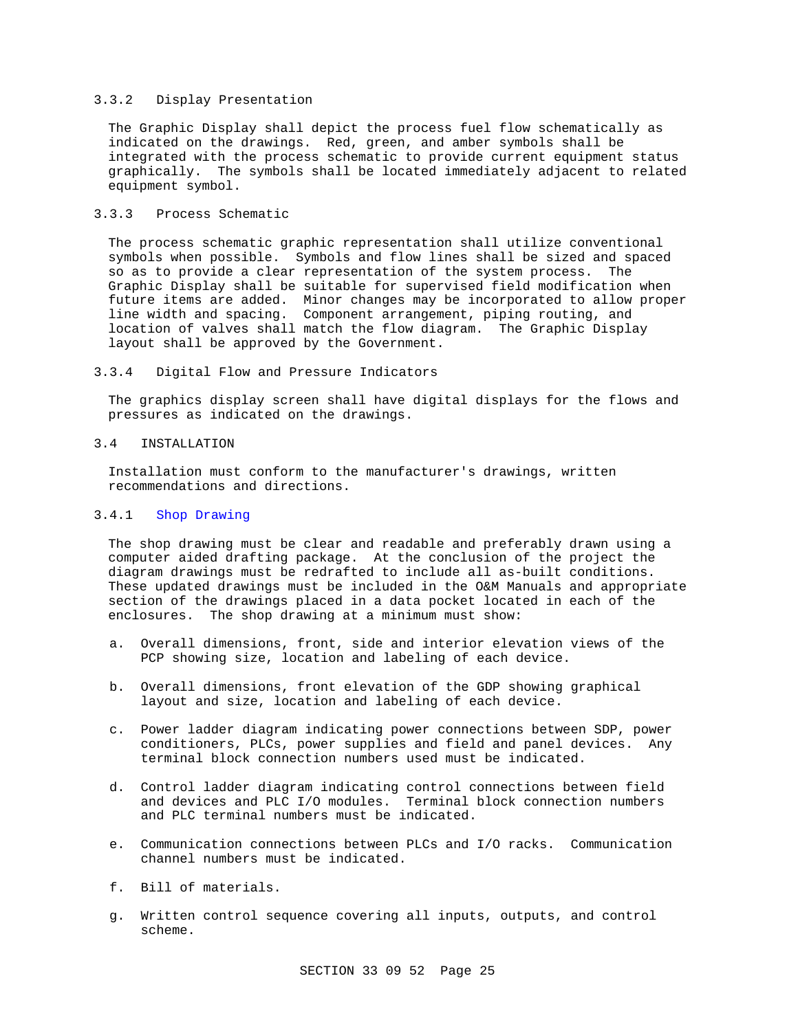### 3.3.2 Display Presentation

The Graphic Display shall depict the process fuel flow schematically as indicated on the drawings. Red, green, and amber symbols shall be integrated with the process schematic to provide current equipment status graphically. The symbols shall be located immediately adjacent to related equipment symbol.

# 3.3.3 Process Schematic

The process schematic graphic representation shall utilize conventional symbols when possible. Symbols and flow lines shall be sized and spaced so as to provide a clear representation of the system process. The Graphic Display shall be suitable for supervised field modification when future items are added. Minor changes may be incorporated to allow proper line width and spacing. Component arrangement, piping routing, and location of valves shall match the flow diagram. The Graphic Display layout shall be approved by the Government.

3.3.4 Digital Flow and Pressure Indicators

The graphics display screen shall have digital displays for the flows and pressures as indicated on the drawings.

#### 3.4 INSTALLATION

Installation must conform to the manufacturer's drawings, written recommendations and directions.

### 3.4.1 Shop Drawing

The shop drawing must be clear and readable and preferably drawn using a computer aided drafting package. At the conclusion of the project the diagram drawings must be redrafted to include all as-built conditions. These updated drawings must be included in the O&M Manuals and appropriate section of the drawings placed in a data pocket located in each of the enclosures. The shop drawing at a minimum must show:

- a. Overall dimensions, front, side and interior elevation views of the PCP showing size, location and labeling of each device.
- b. Overall dimensions, front elevation of the GDP showing graphical layout and size, location and labeling of each device.
- c. Power ladder diagram indicating power connections between SDP, power conditioners, PLCs, power supplies and field and panel devices. Any terminal block connection numbers used must be indicated.
- d. Control ladder diagram indicating control connections between field and devices and PLC I/O modules. Terminal block connection numbers and PLC terminal numbers must be indicated.
- e. Communication connections between PLCs and I/O racks. Communication channel numbers must be indicated.
- f. Bill of materials.
- g. Written control sequence covering all inputs, outputs, and control scheme.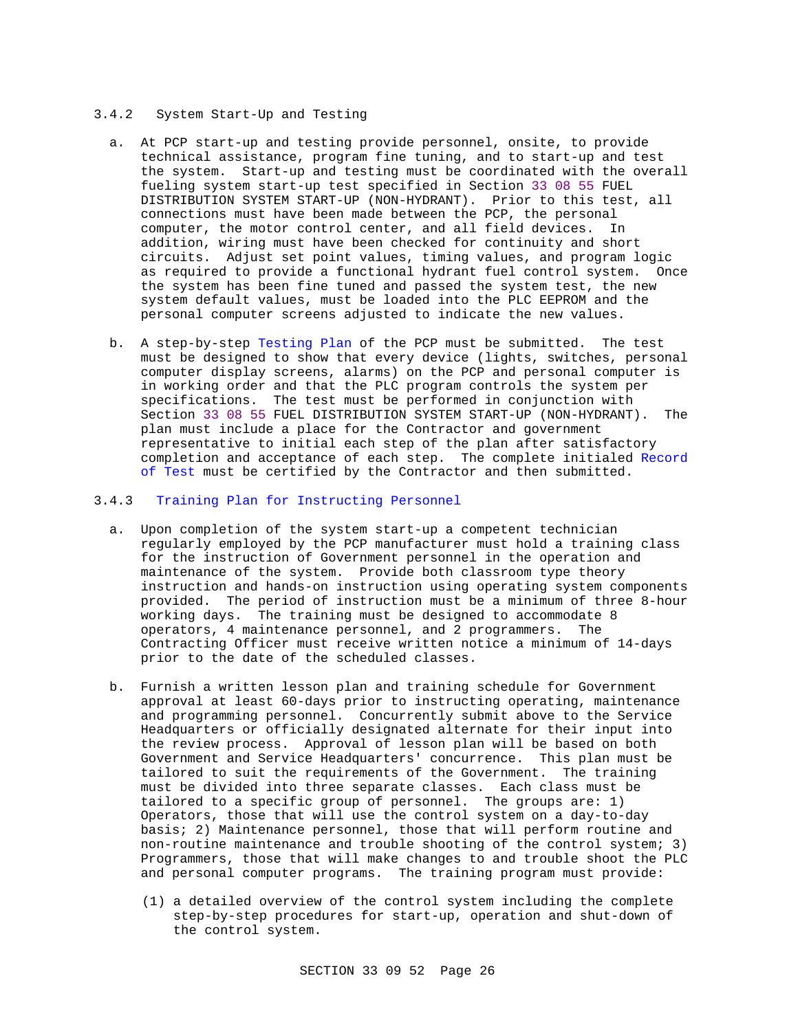#### 3.4.2 System Start-Up and Testing

- a. At PCP start-up and testing provide personnel, onsite, to provide technical assistance, program fine tuning, and to start-up and test the system. Start-up and testing must be coordinated with the overall fueling system start-up test specified in Section 33 08 55 FUEL DISTRIBUTION SYSTEM START-UP (NON-HYDRANT). Prior to this test, all connections must have been made between the PCP, the personal computer, the motor control center, and all field devices. In addition, wiring must have been checked for continuity and short circuits. Adjust set point values, timing values, and program logic as required to provide a functional hydrant fuel control system. Once the system has been fine tuned and passed the system test, the new system default values, must be loaded into the PLC EEPROM and the personal computer screens adjusted to indicate the new values.
- b. A step-by-step Testing Plan of the PCP must be submitted. The test must be designed to show that every device (lights, switches, personal computer display screens, alarms) on the PCP and personal computer is in working order and that the PLC program controls the system per specifications. The test must be performed in conjunction with Section 33 08 55 FUEL DISTRIBUTION SYSTEM START-UP (NON-HYDRANT). The plan must include a place for the Contractor and government representative to initial each step of the plan after satisfactory completion and acceptance of each step. The complete initialed Record of Test must be certified by the Contractor and then submitted.

#### 3.4.3 Training Plan for Instructing Personnel

- a. Upon completion of the system start-up a competent technician regularly employed by the PCP manufacturer must hold a training class for the instruction of Government personnel in the operation and maintenance of the system. Provide both classroom type theory instruction and hands-on instruction using operating system components provided. The period of instruction must be a minimum of three 8-hour working days. The training must be designed to accommodate 8 operators, 4 maintenance personnel, and 2 programmers. The Contracting Officer must receive written notice a minimum of 14-days prior to the date of the scheduled classes.
- b. Furnish a written lesson plan and training schedule for Government approval at least 60-days prior to instructing operating, maintenance and programming personnel. Concurrently submit above to the Service Headquarters or officially designated alternate for their input into the review process. Approval of lesson plan will be based on both Government and Service Headquarters' concurrence. This plan must be tailored to suit the requirements of the Government. The training must be divided into three separate classes. Each class must be tailored to a specific group of personnel. The groups are: 1) Operators, those that will use the control system on a day-to-day basis; 2) Maintenance personnel, those that will perform routine and non-routine maintenance and trouble shooting of the control system; 3) Programmers, those that will make changes to and trouble shoot the PLC and personal computer programs. The training program must provide:
	- (1) a detailed overview of the control system including the complete step-by-step procedures for start-up, operation and shut-down of the control system.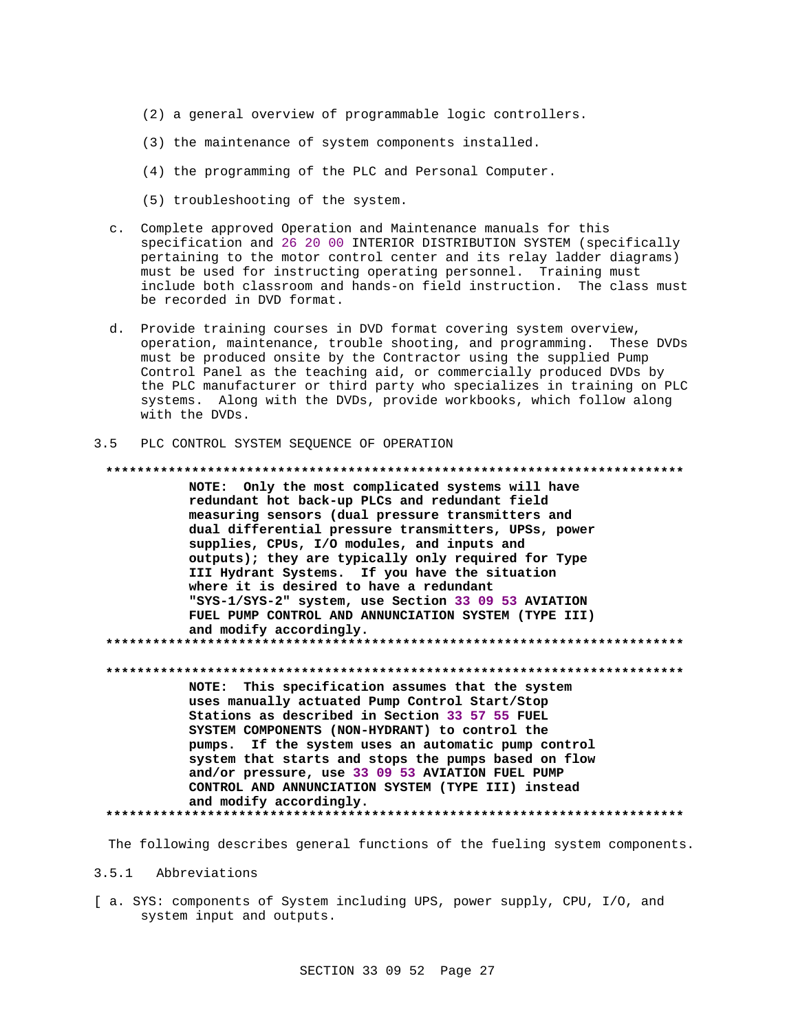- (2) a general overview of programmable logic controllers.
- (3) the maintenance of system components installed.
- (4) the programming of the PLC and Personal Computer.
- (5) troubleshooting of the system.
- c. Complete approved Operation and Maintenance manuals for this specification and 26 20 00 INTERIOR DISTRIBUTION SYSTEM (specifically pertaining to the motor control center and its relay ladder diagrams) must be used for instructing operating personnel. Training must include both classroom and hands-on field instruction. The class must be recorded in DVD format.
- d. Provide training courses in DVD format covering system overview, operation, maintenance, trouble shooting, and programming. These DVDs must be produced onsite by the Contractor using the supplied Pump Control Panel as the teaching aid, or commercially produced DVDs by the PLC manufacturer or third party who specializes in training on PLC systems. Along with the DVDs, provide workbooks, which follow along with the DVDs.

#### $3.5$ PLC CONTROL SYSTEM SEQUENCE OF OPERATION

# 

NOTE: Only the most complicated systems will have redundant hot back-up PLCs and redundant field measuring sensors (dual pressure transmitters and dual differential pressure transmitters, UPSs, power supplies, CPUs, I/O modules, and inputs and outputs); they are typically only required for Type III Hydrant Systems. If you have the situation where it is desired to have a redundant "SYS-1/SYS-2" system, use Section 33 09 53 AVIATION FUEL PUMP CONTROL AND ANNUNCIATION SYSTEM (TYPE III) and modify accordingly. 

NOTE: This specification assumes that the system uses manually actuated Pump Control Start/Stop Stations as described in Section 33 57 55 FUEL SYSTEM COMPONENTS (NON-HYDRANT) to control the pumps. If the system uses an automatic pump control system that starts and stops the pumps based on flow and/or pressure, use 33 09 53 AVIATION FUEL PUMP CONTROL AND ANNUNCIATION SYSTEM (TYPE III) instead and modify accordingly. \*\*\*\*\*\*\*\*\*\*\*\*\*\*\*\*\*\*\*\*\*

The following describes general functions of the fueling system components.

#### 3.5.1 Abbreviations

[ a. SYS: components of System including UPS, power supply, CPU, I/O, and system input and outputs.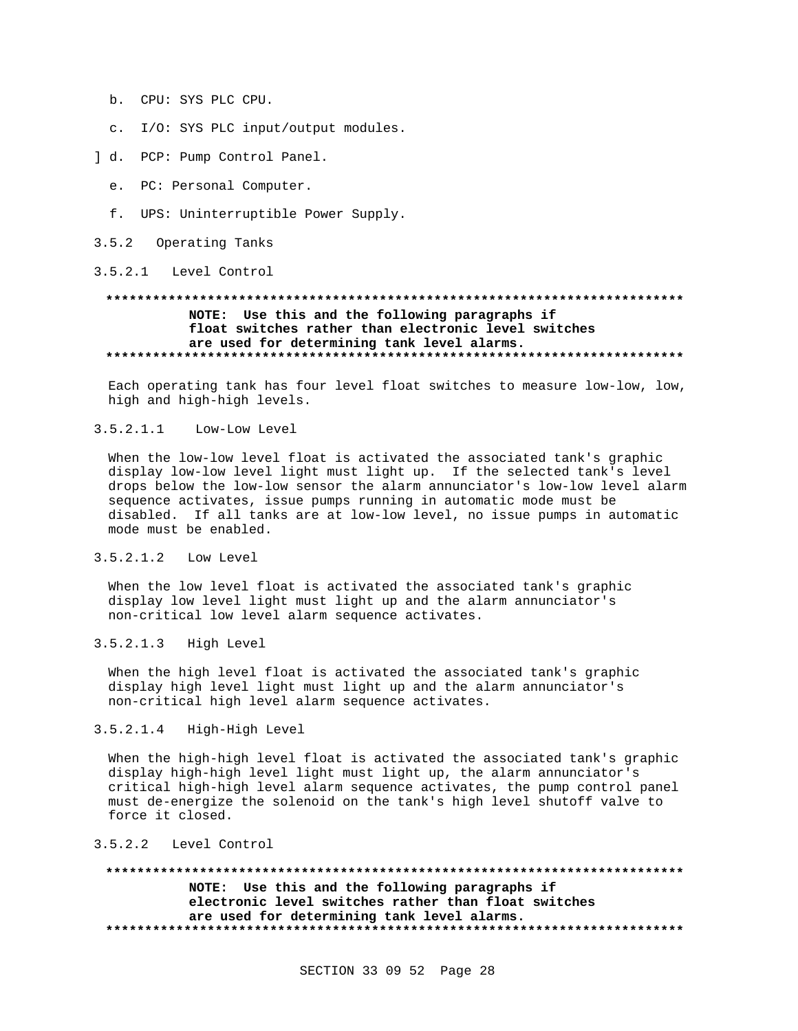- b. CPU: SYS PLC CPU.
- c. I/O: SYS PLC input/output modules.
- ] d. PCP: Pump Control Panel.
	- e. PC: Personal Computer.
	- f. UPS: Uninterruptible Power Supply.
- 3.5.2 Operating Tanks

3.5.2.1 Level Control

# NOTE: Use this and the following paragraphs if float switches rather than electronic level switches are used for determining tank level alarms.

Each operating tank has four level float switches to measure low-low, low, high and high-high levels.

#### $3.5.2.1.1$ Low-Low Level

When the low-low level float is activated the associated tank's graphic display low-low level light must light up. If the selected tank's level drops below the low-low sensor the alarm annunciator's low-low level alarm sequence activates, issue pumps running in automatic mode must be disabled. If all tanks are at low-low level, no issue pumps in automatic mode must be enabled.

# 3.5.2.1.2 Low Level

When the low level float is activated the associated tank's graphic display low level light must light up and the alarm annunciator's non-critical low level alarm sequence activates.

# 3.5.2.1.3 High Level

When the high level float is activated the associated tank's graphic display high level light must light up and the alarm annunciator's non-critical high level alarm sequence activates.

## 3.5.2.1.4 High-High Level

When the high-high level float is activated the associated tank's graphic display high-high level light must light up, the alarm annunciator's critical high-high level alarm sequence activates, the pump control panel must de-energize the solenoid on the tank's high level shutoff valve to force it closed.

#### 3.5.2.2 Level Control

NOTE: Use this and the following paragraphs if electronic level switches rather than float switches are used for determining tank level alarms.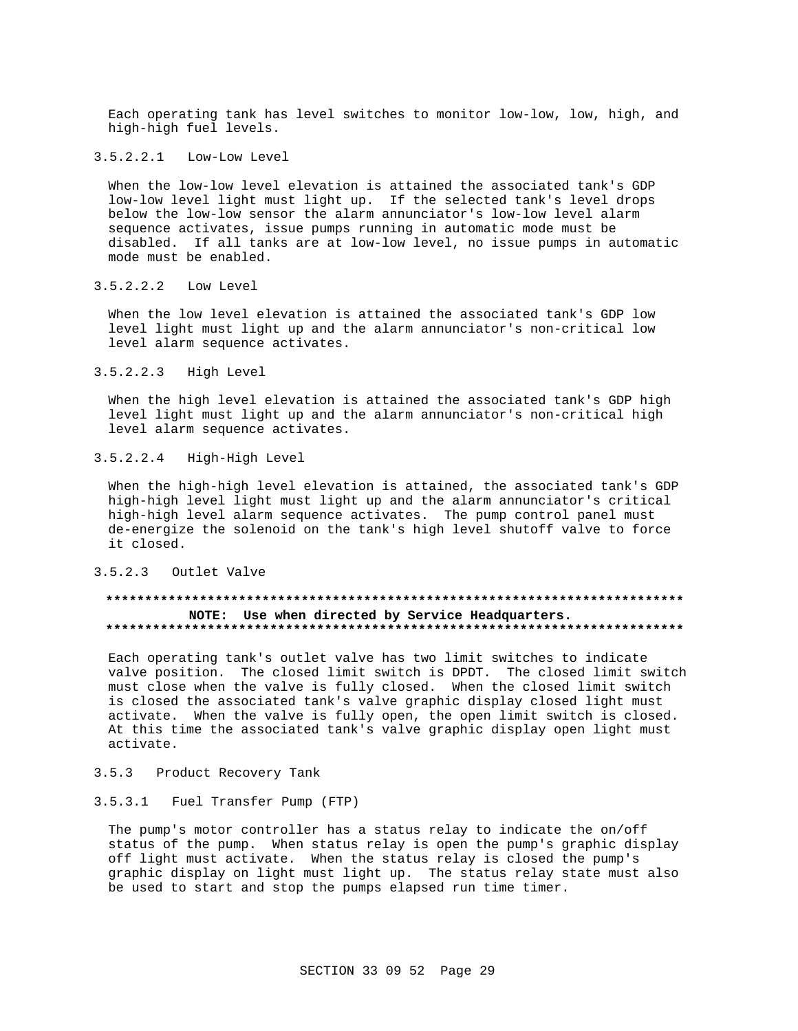Each operating tank has level switches to monitor low-low, low, high, and high-high fuel levels.

#### 3.5.2.2.1 Low-Low Level

When the low-low level elevation is attained the associated tank's GDP low-low level light must light up. If the selected tank's level drops below the low-low sensor the alarm annunciator's low-low level alarm sequence activates, issue pumps running in automatic mode must be disabled. If all tanks are at low-low level, no issue pumps in automatic mode must be enabled.

3.5.2.2.2 Low Level

When the low level elevation is attained the associated tank's GDP low level light must light up and the alarm annunciator's non-critical low level alarm sequence activates.

#### 3.5.2.2.3 High Level

When the high level elevation is attained the associated tank's GDP high level light must light up and the alarm annunciator's non-critical high level alarm sequence activates.

3.5.2.2.4 High-High Level

When the high-high level elevation is attained, the associated tank's GDP high-high level light must light up and the alarm annunciator's critical high-high level alarm sequence activates. The pump control panel must de-energize the solenoid on the tank's high level shutoff valve to force it closed.

#### 3.5.2.3 Outlet Valve

#### **\*\*\*\*\*\*\*\*\*\*\*\*\*\*\*\*\*\*\*\*\*\*\*\*\*\*\*\*\*\*\*\*\*\*\*\*\*\*\*\*\*\*\*\*\*\*\*\*\*\*\*\*\*\*\*\*\*\*\*\*\*\*\*\*\*\*\*\*\*\*\*\*\*\* NOTE: Use when directed by Service Headquarters. \*\*\*\*\*\*\*\*\*\*\*\*\*\*\*\*\*\*\*\*\*\*\*\*\*\*\*\*\*\*\*\*\*\*\*\*\*\*\*\*\*\*\*\*\*\*\*\*\*\*\*\*\*\*\*\*\*\*\*\*\*\*\*\*\*\*\*\*\*\*\*\*\*\***

Each operating tank's outlet valve has two limit switches to indicate valve position. The closed limit switch is DPDT. The closed limit switch must close when the valve is fully closed. When the closed limit switch is closed the associated tank's valve graphic display closed light must activate. When the valve is fully open, the open limit switch is closed. At this time the associated tank's valve graphic display open light must activate.

# 3.5.3 Product Recovery Tank

#### 3.5.3.1 Fuel Transfer Pump (FTP)

The pump's motor controller has a status relay to indicate the on/off status of the pump. When status relay is open the pump's graphic display off light must activate. When the status relay is closed the pump's graphic display on light must light up. The status relay state must also be used to start and stop the pumps elapsed run time timer.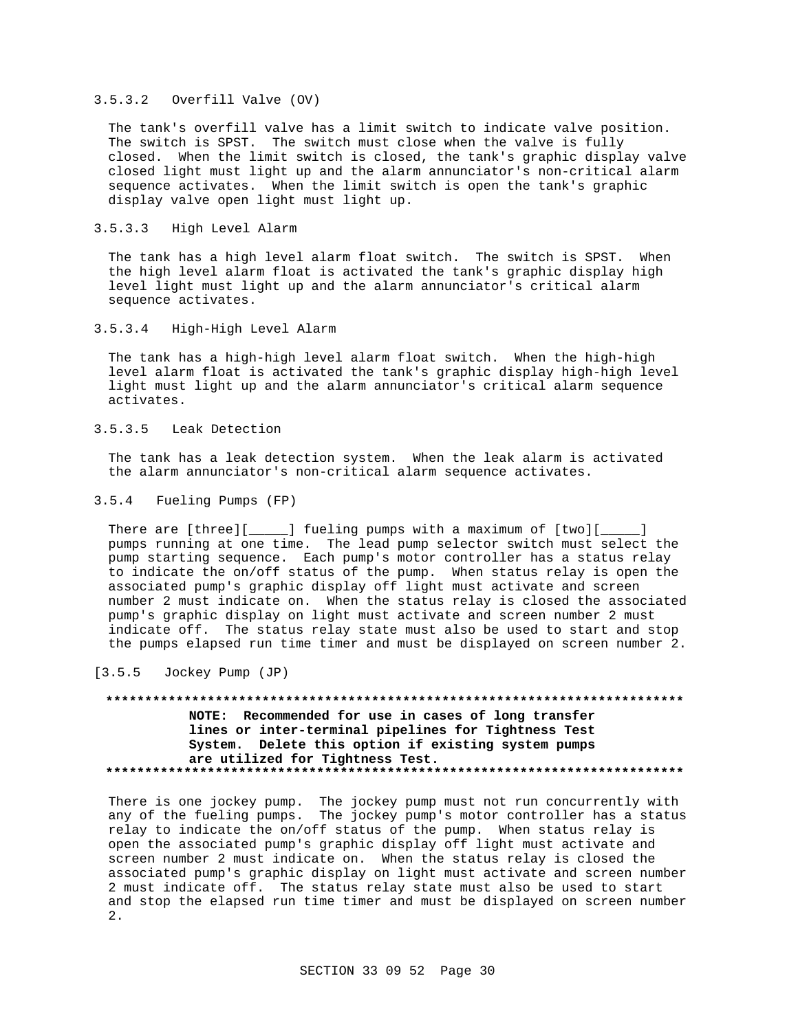#### 3.5.3.2 Overfill Valve (OV)

The tank's overfill valve has a limit switch to indicate valve position. The switch is SPST. The switch must close when the valve is fully closed. When the limit switch is closed, the tank's graphic display valve closed light must light up and the alarm annunciator's non-critical alarm sequence activates. When the limit switch is open the tank's graphic display valve open light must light up.

#### 3.5.3.3 High Level Alarm

The tank has a high level alarm float switch. The switch is SPST. When the high level alarm float is activated the tank's graphic display high level light must light up and the alarm annunciator's critical alarm sequence activates.

3.5.3.4 High-High Level Alarm

The tank has a high-high level alarm float switch. When the high-high level alarm float is activated the tank's graphic display high-high level light must light up and the alarm annunciator's critical alarm sequence activates.

### 3.5.3.5 Leak Detection

The tank has a leak detection system. When the leak alarm is activated the alarm annunciator's non-critical alarm sequence activates.

#### 3.5.4 Fueling Pumps (FP)

There are [three][\_\_\_\_\_] fueling pumps with a maximum of [two][\_\_\_\_\_] pumps running at one time. The lead pump selector switch must select the pump starting sequence. Each pump's motor controller has a status relay to indicate the on/off status of the pump. When status relay is open the associated pump's graphic display off light must activate and screen number 2 must indicate on. When the status relay is closed the associated pump's graphic display on light must activate and screen number 2 must indicate off. The status relay state must also be used to start and stop the pumps elapsed run time timer and must be displayed on screen number 2.

[3.5.5 Jockey Pump (JP)

# **\*\*\*\*\*\*\*\*\*\*\*\*\*\*\*\*\*\*\*\*\*\*\*\*\*\*\*\*\*\*\*\*\*\*\*\*\*\*\*\*\*\*\*\*\*\*\*\*\*\*\*\*\*\*\*\*\*\*\*\*\*\*\*\*\*\*\*\*\*\*\*\*\*\* NOTE: Recommended for use in cases of long transfer lines or inter-terminal pipelines for Tightness Test System. Delete this option if existing system pumps are utilized for Tightness Test. \*\*\*\*\*\*\*\*\*\*\*\*\*\*\*\*\*\*\*\*\*\*\*\*\*\*\*\*\*\*\*\*\*\*\*\*\*\*\*\*\*\*\*\*\*\*\*\*\*\*\*\*\*\*\*\*\*\*\*\*\*\*\*\*\*\*\*\*\*\*\*\*\*\***

There is one jockey pump. The jockey pump must not run concurrently with any of the fueling pumps. The jockey pump's motor controller has a status relay to indicate the on/off status of the pump. When status relay is open the associated pump's graphic display off light must activate and screen number 2 must indicate on. When the status relay is closed the associated pump's graphic display on light must activate and screen number 2 must indicate off. The status relay state must also be used to start and stop the elapsed run time timer and must be displayed on screen number 2.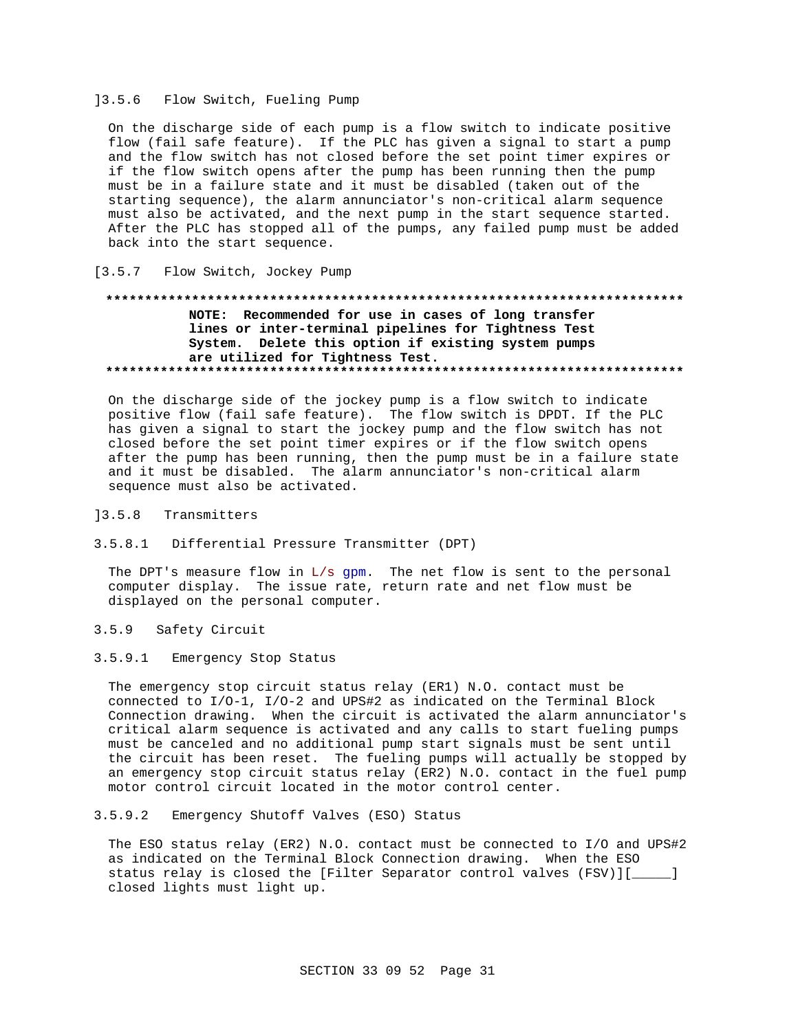#### 13.5.6 Flow Switch, Fueling Pump

On the discharge side of each pump is a flow switch to indicate positive flow (fail safe feature). If the PLC has given a signal to start a pump and the flow switch has not closed before the set point timer expires or if the flow switch opens after the pump has been running then the pump must be in a failure state and it must be disabled (taken out of the starting sequence), the alarm annunciator's non-critical alarm sequence must also be activated, and the next pump in the start sequence started. After the PLC has stopped all of the pumps, any failed pump must be added back into the start sequence.

#### $[3.5.7]$ Flow Switch, Jockey Pump

#### \*\*\*\*\*\*\*\*\*\*\*\*\* NOTE: Recommended for use in cases of long transfer lines or inter-terminal pipelines for Tightness Test System. Delete this option if existing system pumps are utilized for Tightness Test.

On the discharge side of the jockey pump is a flow switch to indicate positive flow (fail safe feature). The flow switch is DPDT. If the PLC has given a signal to start the jockey pump and the flow switch has not closed before the set point timer expires or if the flow switch opens after the pump has been running, then the pump must be in a failure state and it must be disabled. The alarm annunciator's non-critical alarm sequence must also be activated.

#### $]3.5.8$ Transmitters

3.5.8.1 Differential Pressure Transmitter (DPT)

The DPT's measure flow in  $L/s$  gpm. The net flow is sent to the personal computer display. The issue rate, return rate and net flow must be displayed on the personal computer.

 $3.5.9$ Safety Circuit

#### 3.5.9.1 Emergency Stop Status

The emergency stop circuit status relay (ER1) N.O. contact must be connected to I/O-1, I/O-2 and UPS#2 as indicated on the Terminal Block Connection drawing. When the circuit is activated the alarm annunciator's critical alarm sequence is activated and any calls to start fueling pumps must be canceled and no additional pump start signals must be sent until the circuit has been reset. The fueling pumps will actually be stopped by an emergency stop circuit status relay (ER2) N.O. contact in the fuel pump motor control circuit located in the motor control center.

#### $3.5.9.2$ Emergency Shutoff Valves (ESO) Status

The ESO status relay (ER2) N.O. contact must be connected to I/O and UPS#2 as indicated on the Terminal Block Connection drawing. When the ESO status relay is closed the [Filter Separator control valves (FSV)][\_\_\_\_\_] closed lights must light up.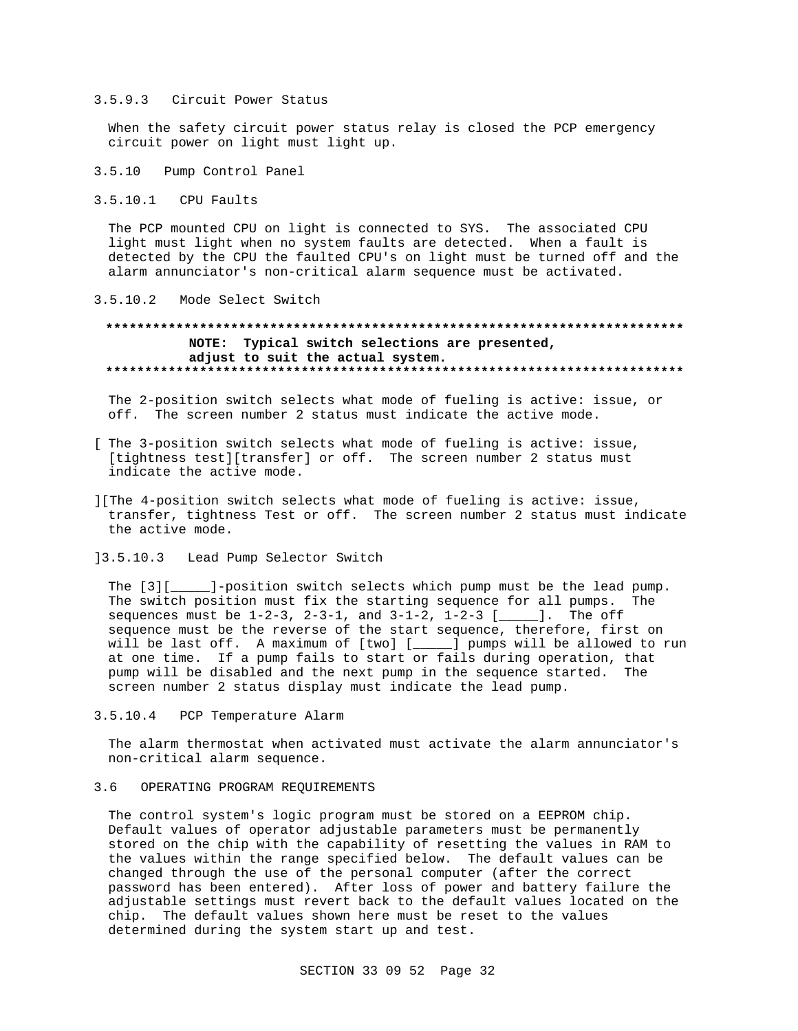#### 3.5.9.3 Circuit Power Status

When the safety circuit power status relay is closed the PCP emergency circuit power on light must light up.

- 3.5.10 Pump Control Panel
- $3.5.10.1$ CPU Faults

The PCP mounted CPU on light is connected to SYS. The associated CPU light must light when no system faults are detected. When a fault is detected by the CPU the faulted CPU's on light must be turned off and the alarm annunciator's non-critical alarm sequence must be activated.

#### 3.5.10.2 Mode Select Switch

# NOTE: Typical switch selections are presented, adjust to suit the actual system.

The 2-position switch selects what mode of fueling is active: issue, or off. The screen number 2 status must indicate the active mode.

- [ The 3-position switch selects what mode of fueling is active: issue, [tightness test][transfer] or off. The screen number 2 status must indicate the active mode.
- ][The 4-position switch selects what mode of fueling is active: issue, transfer, tightness Test or off. The screen number 2 status must indicate the active mode.
- 13.5.10.3 Lead Pump Selector Switch

The [3][ The switch position must fix the starting sequence for all pumps. The sequences must be  $1-2-3$ ,  $2-3-1$ , and  $3-1-2$ ,  $1-2-3$  [\_\_\_\_]. The off sequence must be the reverse of the start sequence, therefore, first on will be last off. A maximum of [two] [\_\_\_\_] pumps will be allowed to run at one time. If a pump fails to start or fails during operation, that pump will be disabled and the next pump in the sequence started. The screen number 2 status display must indicate the lead pump.

 $3.5.10.4$ PCP Temperature Alarm

The alarm thermostat when activated must activate the alarm annunciator's non-critical alarm sequence.

#### OPERATING PROGRAM REOUIREMENTS  $36$

The control system's logic program must be stored on a EEPROM chip. Default values of operator adjustable parameters must be permanently stored on the chip with the capability of resetting the values in RAM to the values within the range specified below. The default values can be changed through the use of the personal computer (after the correct password has been entered). After loss of power and battery failure the adjustable settings must revert back to the default values located on the chip. The default values shown here must be reset to the values determined during the system start up and test.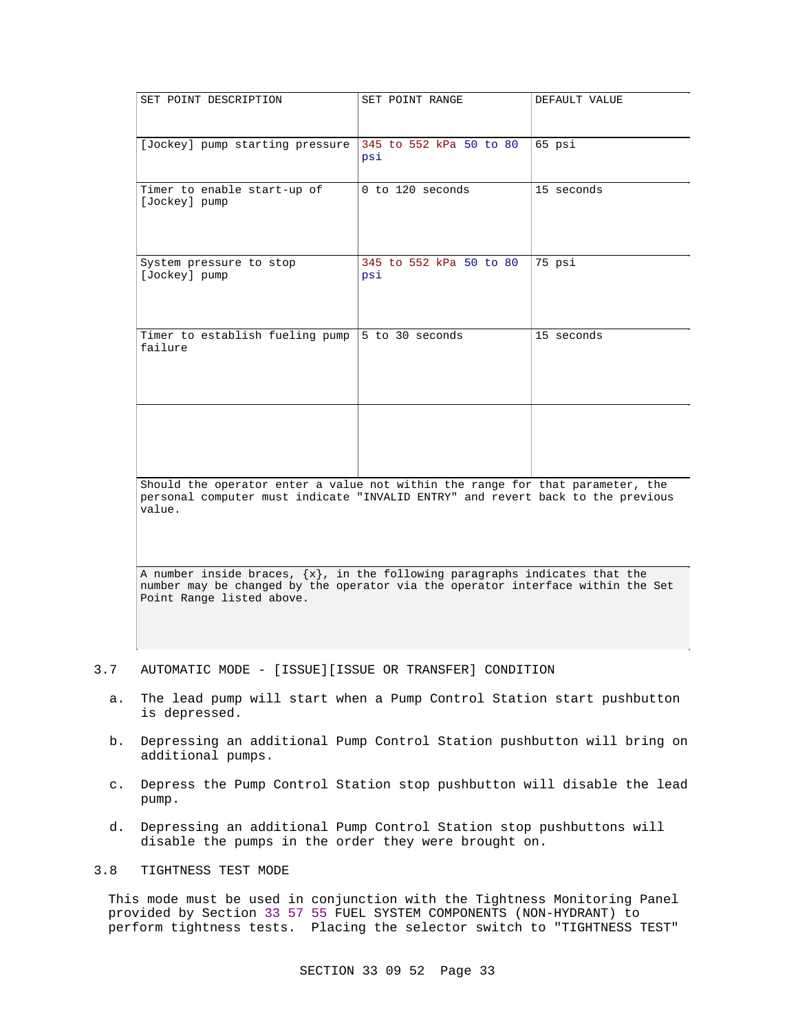| SET POINT DESCRIPTION                                                                                                                                                                            | SET POINT RANGE                | DEFAULT VALUE |  |  |  |
|--------------------------------------------------------------------------------------------------------------------------------------------------------------------------------------------------|--------------------------------|---------------|--|--|--|
| [Jockey] pump starting pressure                                                                                                                                                                  | 345 to 552 kPa 50 to 80<br>psi | 65 psi        |  |  |  |
| Timer to enable start-up of<br>[Jockey] pump                                                                                                                                                     | 0 to 120 seconds               | 15 seconds    |  |  |  |
| System pressure to stop<br>[Jockey] pump                                                                                                                                                         | 345 to 552 kPa 50 to 80<br>psi | 75 psi        |  |  |  |
| Timer to establish fueling pump   5 to 30 seconds<br>failure                                                                                                                                     |                                | 15 seconds    |  |  |  |
|                                                                                                                                                                                                  |                                |               |  |  |  |
| Should the operator enter a value not within the range for that parameter, the<br>personal computer must indicate "INVALID ENTRY" and revert back to the previous<br>value.                      |                                |               |  |  |  |
| A number inside braces, $\{x\}$ , in the following paragraphs indicates that the<br>number may be changed by the operator via the operator interface within the Set<br>Point Range listed above. |                                |               |  |  |  |

#### 3.7 AUTOMATIC MODE - [ISSUE][ISSUE OR TRANSFER] CONDITION

- a. The lead pump will start when a Pump Control Station start pushbutton is depressed.
- b. Depressing an additional Pump Control Station pushbutton will bring on additional pumps.
- c. Depress the Pump Control Station stop pushbutton will disable the lead pump.
- d. Depressing an additional Pump Control Station stop pushbuttons will disable the pumps in the order they were brought on.

# 3.8 TIGHTNESS TEST MODE

This mode must be used in conjunction with the Tightness Monitoring Panel provided by Section 33 57 55 FUEL SYSTEM COMPONENTS (NON-HYDRANT) to perform tightness tests. Placing the selector switch to "TIGHTNESS TEST"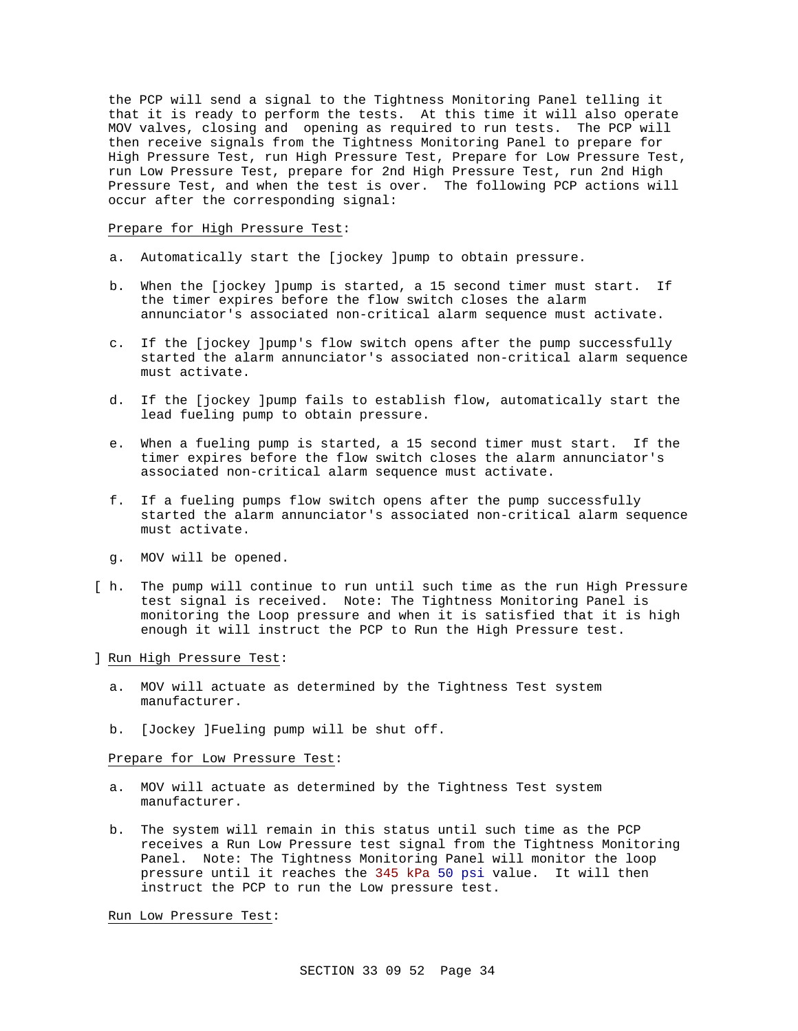the PCP will send a signal to the Tightness Monitoring Panel telling it that it is ready to perform the tests. At this time it will also operate MOV valves, closing and opening as required to run tests. The PCP will then receive signals from the Tightness Monitoring Panel to prepare for High Pressure Test, run High Pressure Test, Prepare for Low Pressure Test, run Low Pressure Test, prepare for 2nd High Pressure Test, run 2nd High Pressure Test, and when the test is over. The following PCP actions will occur after the corresponding signal:

Prepare for High Pressure Test:

- a. Automatically start the [jockey ]pump to obtain pressure.
- b. When the [jockey ]pump is started, a 15 second timer must start. If the timer expires before the flow switch closes the alarm annunciator's associated non-critical alarm sequence must activate.
- c. If the [jockey ]pump's flow switch opens after the pump successfully started the alarm annunciator's associated non-critical alarm sequence must activate.
- d. If the [jockey ]pump fails to establish flow, automatically start the lead fueling pump to obtain pressure.
- e. When a fueling pump is started, a 15 second timer must start. If the timer expires before the flow switch closes the alarm annunciator's associated non-critical alarm sequence must activate.
- f. If a fueling pumps flow switch opens after the pump successfully started the alarm annunciator's associated non-critical alarm sequence must activate.
- g. MOV will be opened.
- [ h. The pump will continue to run until such time as the run High Pressure test signal is received. Note: The Tightness Monitoring Panel is monitoring the Loop pressure and when it is satisfied that it is high enough it will instruct the PCP to Run the High Pressure test.
- ] Run High Pressure Test:
	- a. MOV will actuate as determined by the Tightness Test system manufacturer.
	- b. [Jockey ]Fueling pump will be shut off.

Prepare for Low Pressure Test:

- a. MOV will actuate as determined by the Tightness Test system manufacturer.
- b. The system will remain in this status until such time as the PCP receives a Run Low Pressure test signal from the Tightness Monitoring Panel. Note: The Tightness Monitoring Panel will monitor the loop pressure until it reaches the 345 kPa 50 psi value. It will then instruct the PCP to run the Low pressure test.

Run Low Pressure Test: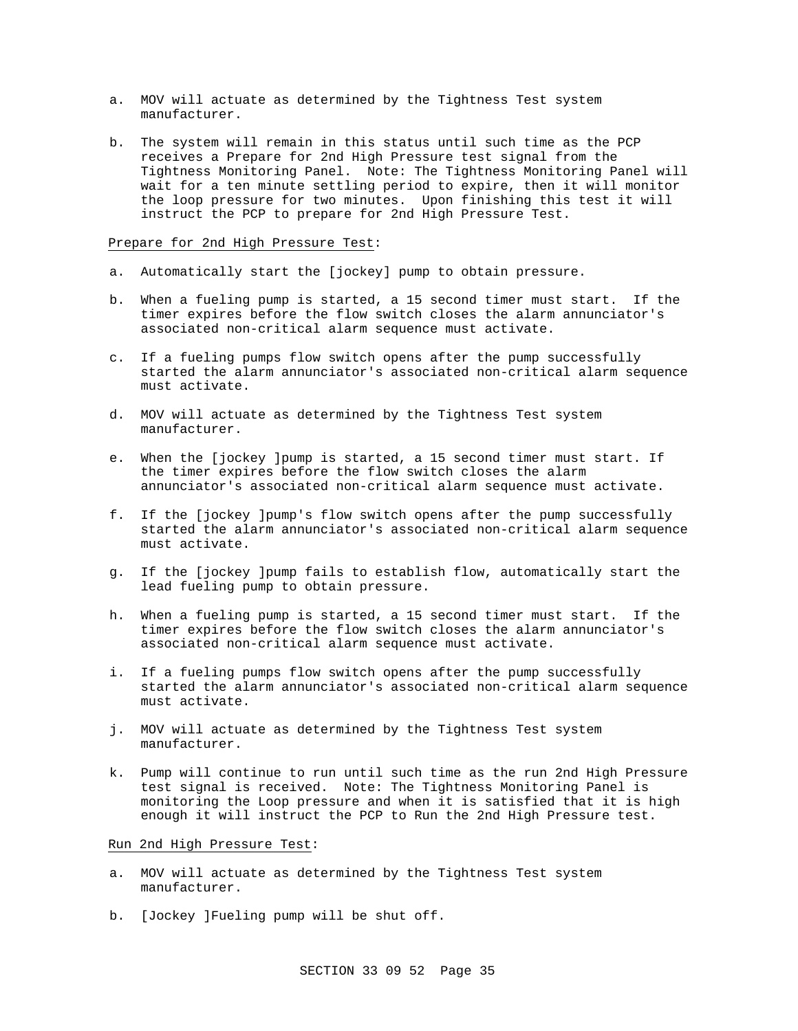- a. MOV will actuate as determined by the Tightness Test system manufacturer.
- b. The system will remain in this status until such time as the PCP receives a Prepare for 2nd High Pressure test signal from the Tightness Monitoring Panel. Note: The Tightness Monitoring Panel will wait for a ten minute settling period to expire, then it will monitor the loop pressure for two minutes. Upon finishing this test it will instruct the PCP to prepare for 2nd High Pressure Test.

#### Prepare for 2nd High Pressure Test:

- a. Automatically start the [jockey] pump to obtain pressure.
- b. When a fueling pump is started, a 15 second timer must start. If the timer expires before the flow switch closes the alarm annunciator's associated non-critical alarm sequence must activate.
- c. If a fueling pumps flow switch opens after the pump successfully started the alarm annunciator's associated non-critical alarm sequence must activate.
- d. MOV will actuate as determined by the Tightness Test system manufacturer.
- e. When the [jockey ]pump is started, a 15 second timer must start. If the timer expires before the flow switch closes the alarm annunciator's associated non-critical alarm sequence must activate.
- f. If the [jockey ]pump's flow switch opens after the pump successfully started the alarm annunciator's associated non-critical alarm sequence must activate.
- g. If the [jockey ]pump fails to establish flow, automatically start the lead fueling pump to obtain pressure.
- h. When a fueling pump is started, a 15 second timer must start. If the timer expires before the flow switch closes the alarm annunciator's associated non-critical alarm sequence must activate.
- i. If a fueling pumps flow switch opens after the pump successfully started the alarm annunciator's associated non-critical alarm sequence must activate.
- j. MOV will actuate as determined by the Tightness Test system manufacturer.
- k. Pump will continue to run until such time as the run 2nd High Pressure test signal is received. Note: The Tightness Monitoring Panel is monitoring the Loop pressure and when it is satisfied that it is high enough it will instruct the PCP to Run the 2nd High Pressure test.

Run 2nd High Pressure Test:

- a. MOV will actuate as determined by the Tightness Test system manufacturer.
- b. [Jockey ]Fueling pump will be shut off.